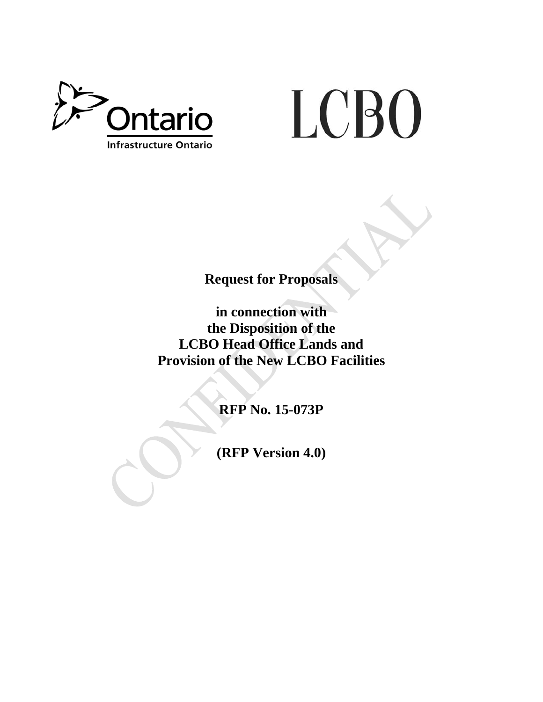

# LCBO

**Request for Proposals** 

**in connection with the Disposition of the LCBO Head Office Lands and Provision of the New LCBO Facilities** 

**RFP No. 15-073P** 

**(RFP Version 4.0)**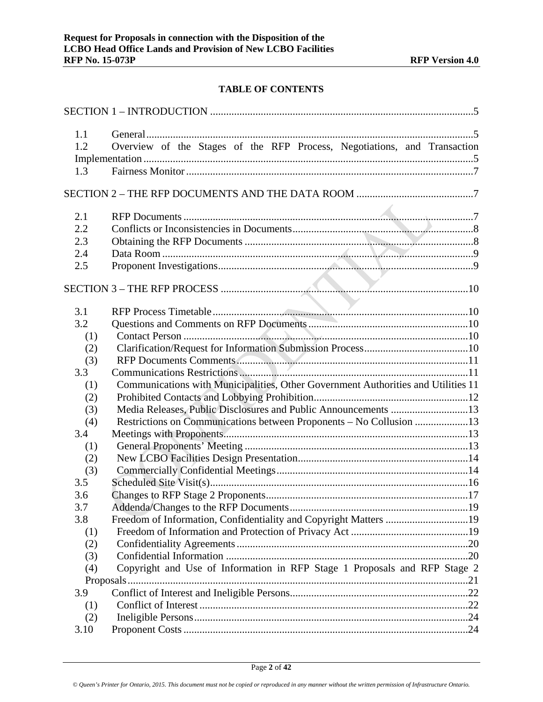# **TABLE OF CONTENTS**

| 1.1        |                                                                                   |  |
|------------|-----------------------------------------------------------------------------------|--|
| 1.2        | Overview of the Stages of the RFP Process, Negotiations, and Transaction          |  |
|            |                                                                                   |  |
| 1.3        |                                                                                   |  |
|            |                                                                                   |  |
|            |                                                                                   |  |
|            |                                                                                   |  |
| 2.1        |                                                                                   |  |
| 2.2        |                                                                                   |  |
| 2.3        |                                                                                   |  |
| 2.4        |                                                                                   |  |
| 2.5        |                                                                                   |  |
|            |                                                                                   |  |
|            |                                                                                   |  |
| 3.1        |                                                                                   |  |
| 3.2        |                                                                                   |  |
|            |                                                                                   |  |
| (1)        |                                                                                   |  |
| (2)        |                                                                                   |  |
| (3)<br>3.3 |                                                                                   |  |
|            |                                                                                   |  |
| (1)        | Communications with Municipalities, Other Government Authorities and Utilities 11 |  |
| (2)        | Media Releases, Public Disclosures and Public Announcements 13                    |  |
| (3)        |                                                                                   |  |
| (4)<br>3.4 | Restrictions on Communications between Proponents - No Collusion 13               |  |
| (1)        |                                                                                   |  |
| (2)        |                                                                                   |  |
| (3)        |                                                                                   |  |
| 3.5        |                                                                                   |  |
| 3.6        |                                                                                   |  |
| 3.7        |                                                                                   |  |
| 3.8        | Freedom of Information, Confidentiality and Copyright Matters 19                  |  |
| (1)        |                                                                                   |  |
| (2)        |                                                                                   |  |
| (3)        |                                                                                   |  |
| (4)        | Copyright and Use of Information in RFP Stage 1 Proposals and RFP Stage 2         |  |
|            |                                                                                   |  |
| 3.9        |                                                                                   |  |
| (1)        |                                                                                   |  |
| (2)        |                                                                                   |  |
| 3.10       |                                                                                   |  |
|            |                                                                                   |  |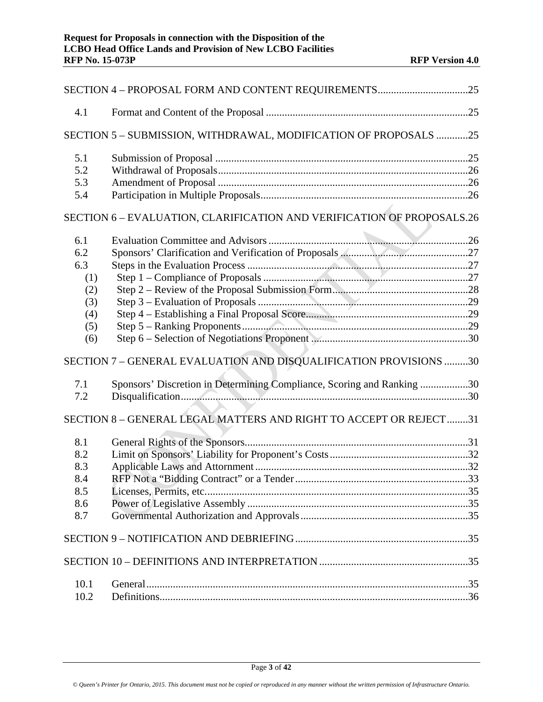| 4.1  |                                                                        |  |
|------|------------------------------------------------------------------------|--|
|      | SECTION 5 - SUBMISSION, WITHDRAWAL, MODIFICATION OF PROPOSALS 25       |  |
| 5.1  |                                                                        |  |
| 5.2  |                                                                        |  |
| 5.3  |                                                                        |  |
| 5.4  |                                                                        |  |
|      | SECTION 6 - EVALUATION, CLARIFICATION AND VERIFICATION OF PROPOSALS.26 |  |
| 6.1  |                                                                        |  |
| 6.2  |                                                                        |  |
| 6.3  |                                                                        |  |
| (1)  |                                                                        |  |
| (2)  |                                                                        |  |
| (3)  |                                                                        |  |
| (4)  |                                                                        |  |
| (5)  |                                                                        |  |
| (6)  |                                                                        |  |
|      |                                                                        |  |
|      | SECTION 7 - GENERAL EVALUATION AND DISQUALIFICATION PROVISIONS 30      |  |
| 7.1  | Sponsors' Discretion in Determining Compliance, Scoring and Ranking 30 |  |
| 7.2  |                                                                        |  |
|      | SECTION 8 - GENERAL LEGAL MATTERS AND RIGHT TO ACCEPT OR REJECT31      |  |
| 8.1  |                                                                        |  |
| 8.2  |                                                                        |  |
| 8.3  |                                                                        |  |
| 8.4  |                                                                        |  |
| 8.5  |                                                                        |  |
| 8.6  |                                                                        |  |
| 8.7  |                                                                        |  |
|      |                                                                        |  |
|      |                                                                        |  |
|      |                                                                        |  |
| 10.1 |                                                                        |  |
| 10.2 |                                                                        |  |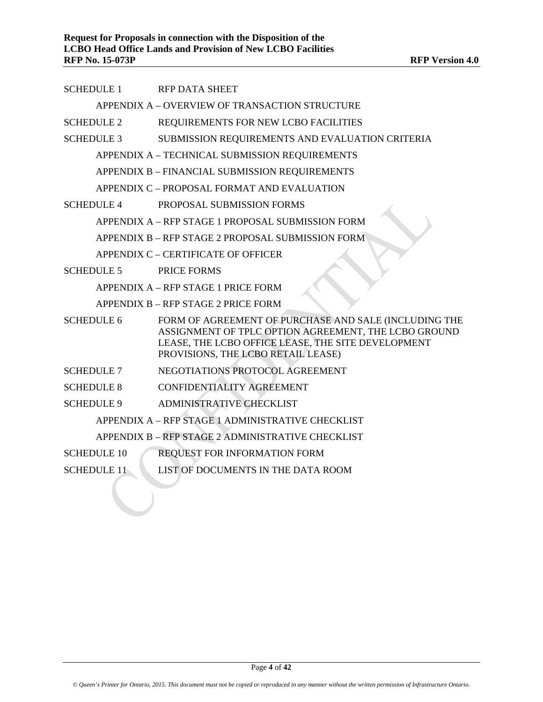| <b>SCHEDULE 1</b>                                 | <b>RFP DATA SHEET</b>                                                                                                                                                                                     |  |  |  |
|---------------------------------------------------|-----------------------------------------------------------------------------------------------------------------------------------------------------------------------------------------------------------|--|--|--|
|                                                   | APPENDIX A - OVERVIEW OF TRANSACTION STRUCTURE                                                                                                                                                            |  |  |  |
| <b>SCHEDULE 2</b>                                 | REQUIREMENTS FOR NEW LCBO FACILITIES                                                                                                                                                                      |  |  |  |
| <b>SCHEDULE 3</b>                                 | SUBMISSION REQUIREMENTS AND EVALUATION CRITERIA                                                                                                                                                           |  |  |  |
|                                                   | APPENDIX A - TECHNICAL SUBMISSION REQUIREMENTS                                                                                                                                                            |  |  |  |
|                                                   | APPENDIX B - FINANCIAL SUBMISSION REQUIREMENTS                                                                                                                                                            |  |  |  |
|                                                   | APPENDIX C - PROPOSAL FORMAT AND EVALUATION                                                                                                                                                               |  |  |  |
| <b>SCHEDULE 4</b>                                 | PROPOSAL SUBMISSION FORMS                                                                                                                                                                                 |  |  |  |
|                                                   | APPENDIX A – RFP STAGE 1 PROPOSAL SUBMISSION FORM                                                                                                                                                         |  |  |  |
|                                                   | APPENDIX B - RFP STAGE 2 PROPOSAL SUBMISSION FORM                                                                                                                                                         |  |  |  |
|                                                   | APPENDIX C – CERTIFICATE OF OFFICER                                                                                                                                                                       |  |  |  |
| <b>SCHEDULE 5</b>                                 | PRICE FORMS                                                                                                                                                                                               |  |  |  |
|                                                   | APPENDIX A - RFP STAGE 1 PRICE FORM                                                                                                                                                                       |  |  |  |
|                                                   | APPENDIX B - RFP STAGE 2 PRICE FORM                                                                                                                                                                       |  |  |  |
| <b>SCHEDULE 6</b>                                 | FORM OF AGREEMENT OF PURCHASE AND SALE (INCLUDING THE<br>ASSIGNMENT OF TPLC OPTION AGREEMENT, THE LCBO GROUND<br>LEASE, THE LCBO OFFICE LEASE, THE SITE DEVELOPMENT<br>PROVISIONS, THE LCBO RETAIL LEASE) |  |  |  |
| <b>SCHEDULE 7</b>                                 | NEGOTIATIONS PROTOCOL AGREEMENT                                                                                                                                                                           |  |  |  |
| <b>SCHEDULE 8</b>                                 | <b>CONFIDENTIALITY AGREEMENT</b>                                                                                                                                                                          |  |  |  |
| <b>SCHEDULE 9</b>                                 | <b>ADMINISTRATIVE CHECKLIST</b>                                                                                                                                                                           |  |  |  |
| APPENDIX A - RFP STAGE 1 ADMINISTRATIVE CHECKLIST |                                                                                                                                                                                                           |  |  |  |
| APPENDIX B - RFP STAGE 2 ADMINISTRATIVE CHECKLIST |                                                                                                                                                                                                           |  |  |  |
| <b>SCHEDULE 10</b>                                | REQUEST FOR INFORMATION FORM                                                                                                                                                                              |  |  |  |
| <b>SCHEDULE 11</b>                                | LIST OF DOCUMENTS IN THE DATA ROOM                                                                                                                                                                        |  |  |  |
|                                                   |                                                                                                                                                                                                           |  |  |  |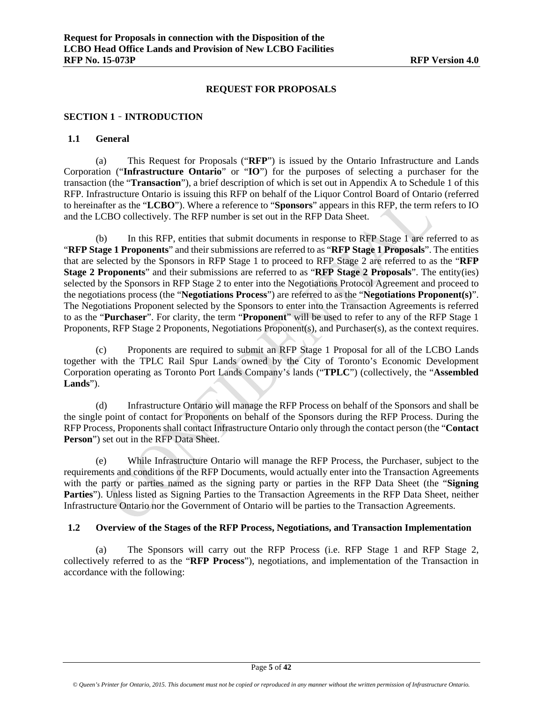#### **REQUEST FOR PROPOSALS**

## **SECTION 1** – **INTRODUCTION**

#### **1.1 General**

(a) This Request for Proposals ("**RFP**") is issued by the Ontario Infrastructure and Lands Corporation ("**Infrastructure Ontario**" or "**IO**") for the purposes of selecting a purchaser for the transaction (the "**Transaction**"), a brief description of which is set out in Appendix A to Schedule 1 of this RFP. Infrastructure Ontario is issuing this RFP on behalf of the Liquor Control Board of Ontario (referred to hereinafter as the "**LCBO**"). Where a reference to "**Sponsors**" appears in this RFP, the term refers to IO and the LCBO collectively. The RFP number is set out in the RFP Data Sheet.

(b) In this RFP, entities that submit documents in response to RFP Stage 1 are referred to as "**RFP Stage 1 Proponents**" and their submissions are referred to as "**RFP Stage 1 Proposals**". The entities that are selected by the Sponsors in RFP Stage 1 to proceed to RFP Stage 2 are referred to as the "**RFP Stage 2 Proponents**" and their submissions are referred to as "**RFP Stage 2 Proposals**". The entity(ies) selected by the Sponsors in RFP Stage 2 to enter into the Negotiations Protocol Agreement and proceed to the negotiations process (the "**Negotiations Process**") are referred to as the "**Negotiations Proponent(s)**". The Negotiations Proponent selected by the Sponsors to enter into the Transaction Agreements is referred to as the "**Purchaser**". For clarity, the term "**Proponent**" will be used to refer to any of the RFP Stage 1 Proponents, RFP Stage 2 Proponents, Negotiations Proponent(s), and Purchaser(s), as the context requires.

(c) Proponents are required to submit an RFP Stage 1 Proposal for all of the LCBO Lands together with the TPLC Rail Spur Lands owned by the City of Toronto's Economic Development Corporation operating as Toronto Port Lands Company's lands ("**TPLC**") (collectively, the "**Assembled Lands**").

(d) Infrastructure Ontario will manage the RFP Process on behalf of the Sponsors and shall be the single point of contact for Proponents on behalf of the Sponsors during the RFP Process. During the RFP Process, Proponents shall contact Infrastructure Ontario only through the contact person (the "**Contact Person**") set out in the RFP Data Sheet.

(e) While Infrastructure Ontario will manage the RFP Process, the Purchaser, subject to the requirements and conditions of the RFP Documents, would actually enter into the Transaction Agreements with the party or parties named as the signing party or parties in the RFP Data Sheet (the "**Signing Parties**"). Unless listed as Signing Parties to the Transaction Agreements in the RFP Data Sheet, neither Infrastructure Ontario nor the Government of Ontario will be parties to the Transaction Agreements.

#### **1.2 Overview of the Stages of the RFP Process, Negotiations, and Transaction Implementation**

(a) The Sponsors will carry out the RFP Process (i.e. RFP Stage 1 and RFP Stage 2, collectively referred to as the "**RFP Process**"), negotiations, and implementation of the Transaction in accordance with the following: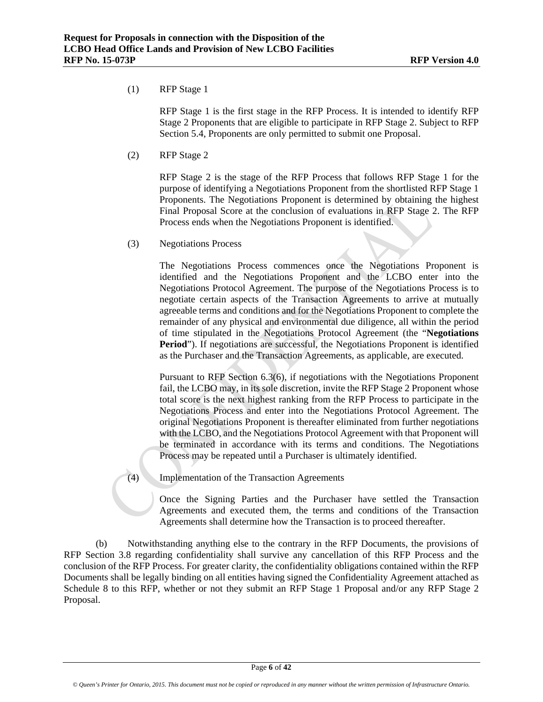#### (1) RFP Stage 1

RFP Stage 1 is the first stage in the RFP Process. It is intended to identify RFP Stage 2 Proponents that are eligible to participate in RFP Stage 2. Subject to RFP Section 5.4, Proponents are only permitted to submit one Proposal.

(2) RFP Stage 2

RFP Stage 2 is the stage of the RFP Process that follows RFP Stage 1 for the purpose of identifying a Negotiations Proponent from the shortlisted RFP Stage 1 Proponents. The Negotiations Proponent is determined by obtaining the highest Final Proposal Score at the conclusion of evaluations in RFP Stage 2. The RFP Process ends when the Negotiations Proponent is identified.

(3) Negotiations Process

The Negotiations Process commences once the Negotiations Proponent is identified and the Negotiations Proponent and the LCBO enter into the Negotiations Protocol Agreement. The purpose of the Negotiations Process is to negotiate certain aspects of the Transaction Agreements to arrive at mutually agreeable terms and conditions and for the Negotiations Proponent to complete the remainder of any physical and environmental due diligence, all within the period of time stipulated in the Negotiations Protocol Agreement (the "**Negotiations Period**"). If negotiations are successful, the Negotiations Proponent is identified as the Purchaser and the Transaction Agreements, as applicable, are executed.

Pursuant to RFP Section 6.3(6), if negotiations with the Negotiations Proponent fail, the LCBO may, in its sole discretion, invite the RFP Stage 2 Proponent whose total score is the next highest ranking from the RFP Process to participate in the Negotiations Process and enter into the Negotiations Protocol Agreement. The original Negotiations Proponent is thereafter eliminated from further negotiations with the LCBO, and the Negotiations Protocol Agreement with that Proponent will be terminated in accordance with its terms and conditions. The Negotiations Process may be repeated until a Purchaser is ultimately identified.

(4) Implementation of the Transaction Agreements

Once the Signing Parties and the Purchaser have settled the Transaction Agreements and executed them, the terms and conditions of the Transaction Agreements shall determine how the Transaction is to proceed thereafter.

(b) Notwithstanding anything else to the contrary in the RFP Documents, the provisions of RFP Section 3.8 regarding confidentiality shall survive any cancellation of this RFP Process and the conclusion of the RFP Process. For greater clarity, the confidentiality obligations contained within the RFP Documents shall be legally binding on all entities having signed the Confidentiality Agreement attached as Schedule 8 to this RFP, whether or not they submit an RFP Stage 1 Proposal and/or any RFP Stage 2 Proposal.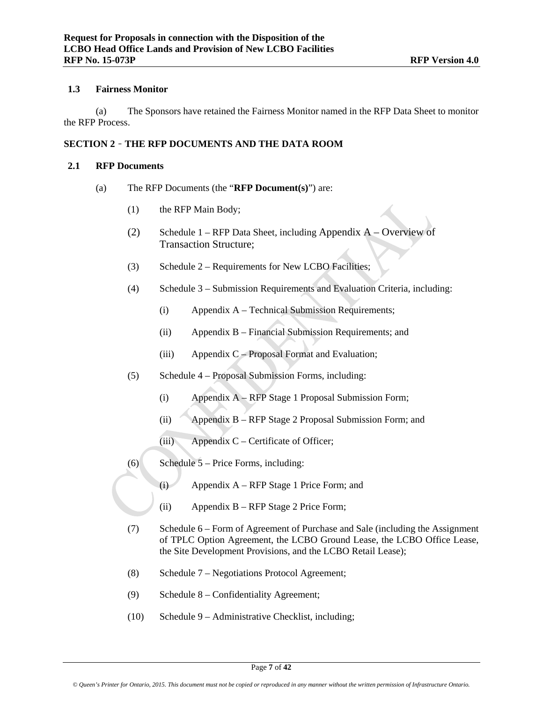#### **1.3 Fairness Monitor**

(a) The Sponsors have retained the Fairness Monitor named in the RFP Data Sheet to monitor the RFP Process.

# **SECTION 2** – **THE RFP DOCUMENTS AND THE DATA ROOM**

#### **2.1 RFP Documents**

- (a) The RFP Documents (the "**RFP Document(s)**") are:
	- (1) the RFP Main Body;
	- (2) Schedule 1 RFP Data Sheet, including Appendix A Overview of Transaction Structure;
	- (3) Schedule 2 Requirements for New LCBO Facilities;
	- (4) Schedule 3 Submission Requirements and Evaluation Criteria, including:
		- (i) Appendix A Technical Submission Requirements;
		- (ii) Appendix B Financial Submission Requirements; and
		- (iii) Appendix C Proposal Format and Evaluation;
	- (5) Schedule 4 Proposal Submission Forms, including:
		- (i) Appendix A RFP Stage 1 Proposal Submission Form;
		- (ii) Appendix B RFP Stage 2 Proposal Submission Form; and
		- (iii) Appendix C Certificate of Officer;
	- (6) Schedule 5 Price Forms, including:
		- (i) Appendix A RFP Stage 1 Price Form; and
		- (ii) Appendix B RFP Stage 2 Price Form;
	- (7) Schedule 6 Form of Agreement of Purchase and Sale (including the Assignment of TPLC Option Agreement, the LCBO Ground Lease, the LCBO Office Lease, the Site Development Provisions, and the LCBO Retail Lease);
	- (8) Schedule 7 Negotiations Protocol Agreement;
	- (9) Schedule 8 Confidentiality Agreement;
	- (10) Schedule 9 Administrative Checklist, including;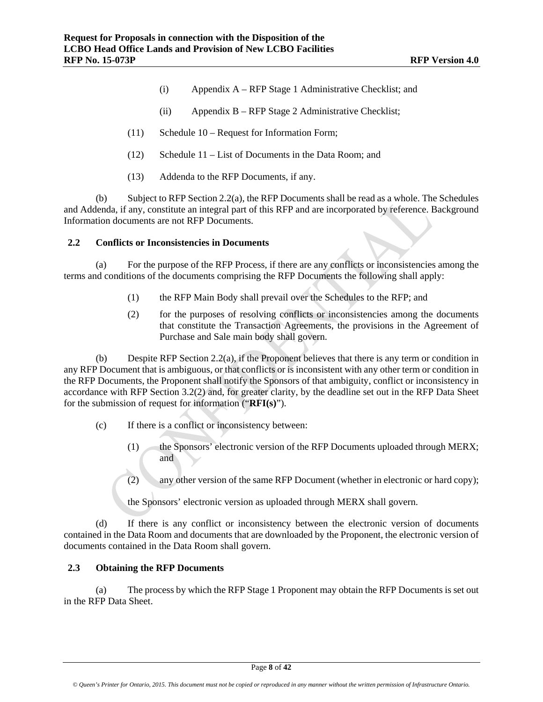- (i) Appendix A RFP Stage 1 Administrative Checklist; and
- (ii) Appendix B RFP Stage 2 Administrative Checklist;
- (11) Schedule 10 Request for Information Form;
- (12) Schedule 11 List of Documents in the Data Room; and
- (13) Addenda to the RFP Documents, if any.

(b) Subject to RFP Section 2.2(a), the RFP Documents shall be read as a whole. The Schedules and Addenda, if any, constitute an integral part of this RFP and are incorporated by reference. Background Information documents are not RFP Documents.

#### **2.2 Conflicts or Inconsistencies in Documents**

(a) For the purpose of the RFP Process, if there are any conflicts or inconsistencies among the terms and conditions of the documents comprising the RFP Documents the following shall apply:

- (1) the RFP Main Body shall prevail over the Schedules to the RFP; and
- (2) for the purposes of resolving conflicts or inconsistencies among the documents that constitute the Transaction Agreements, the provisions in the Agreement of Purchase and Sale main body shall govern.

(b) Despite RFP Section 2.2(a), if the Proponent believes that there is any term or condition in any RFP Document that is ambiguous, or that conflicts or is inconsistent with any other term or condition in the RFP Documents, the Proponent shall notify the Sponsors of that ambiguity, conflict or inconsistency in accordance with RFP Section 3.2(2) and, for greater clarity, by the deadline set out in the RFP Data Sheet for the submission of request for information ("**RFI(s)**").

- (c) If there is a conflict or inconsistency between:
	- (1) the Sponsors' electronic version of the RFP Documents uploaded through MERX; and
	- (2) any other version of the same RFP Document (whether in electronic or hard copy);

the Sponsors' electronic version as uploaded through MERX shall govern.

(d) If there is any conflict or inconsistency between the electronic version of documents contained in the Data Room and documents that are downloaded by the Proponent, the electronic version of documents contained in the Data Room shall govern.

# **2.3 Obtaining the RFP Documents**

(a) The process by which the RFP Stage 1 Proponent may obtain the RFP Documents is set out in the RFP Data Sheet.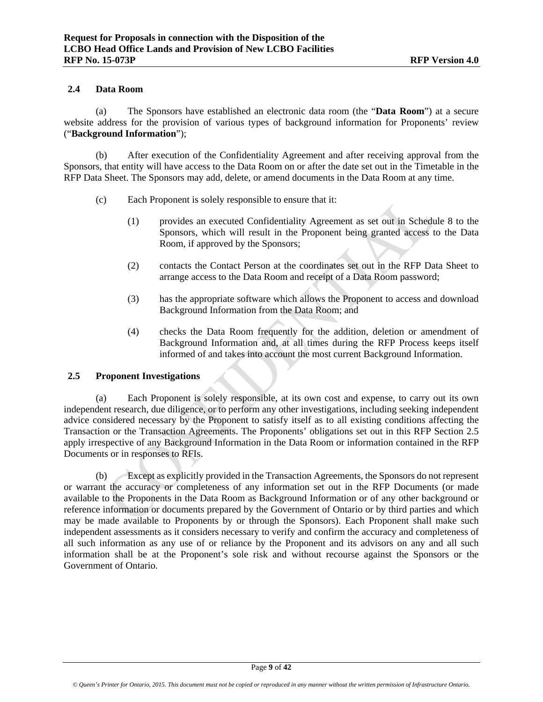# **2.4 Data Room**

(a) The Sponsors have established an electronic data room (the "**Data Room**") at a secure website address for the provision of various types of background information for Proponents' review ("**Background Information**");

(b) After execution of the Confidentiality Agreement and after receiving approval from the Sponsors, that entity will have access to the Data Room on or after the date set out in the Timetable in the RFP Data Sheet. The Sponsors may add, delete, or amend documents in the Data Room at any time.

- (c) Each Proponent is solely responsible to ensure that it:
	- (1) provides an executed Confidentiality Agreement as set out in Schedule 8 to the Sponsors, which will result in the Proponent being granted access to the Data Room, if approved by the Sponsors;
	- (2) contacts the Contact Person at the coordinates set out in the RFP Data Sheet to arrange access to the Data Room and receipt of a Data Room password;
	- (3) has the appropriate software which allows the Proponent to access and download Background Information from the Data Room; and
	- (4) checks the Data Room frequently for the addition, deletion or amendment of Background Information and, at all times during the RFP Process keeps itself informed of and takes into account the most current Background Information.

#### **2.5 Proponent Investigations**

(a) Each Proponent is solely responsible, at its own cost and expense, to carry out its own independent research, due diligence, or to perform any other investigations, including seeking independent advice considered necessary by the Proponent to satisfy itself as to all existing conditions affecting the Transaction or the Transaction Agreements. The Proponents' obligations set out in this RFP Section 2.5 apply irrespective of any Background Information in the Data Room or information contained in the RFP Documents or in responses to RFIs.

(b) Except as explicitly provided in the Transaction Agreements, the Sponsors do not represent or warrant the accuracy or completeness of any information set out in the RFP Documents (or made available to the Proponents in the Data Room as Background Information or of any other background or reference information or documents prepared by the Government of Ontario or by third parties and which may be made available to Proponents by or through the Sponsors). Each Proponent shall make such independent assessments as it considers necessary to verify and confirm the accuracy and completeness of all such information as any use of or reliance by the Proponent and its advisors on any and all such information shall be at the Proponent's sole risk and without recourse against the Sponsors or the Government of Ontario.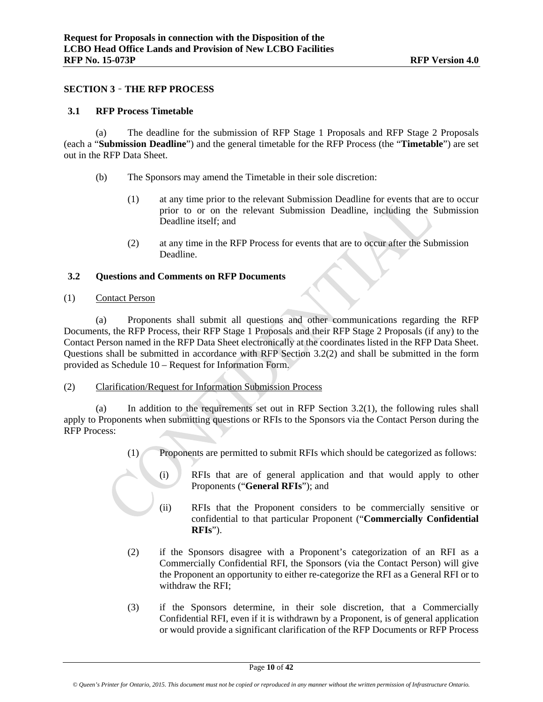#### **SECTION 3** – **THE RFP PROCESS**

#### **3.1 RFP Process Timetable**

(a) The deadline for the submission of RFP Stage 1 Proposals and RFP Stage 2 Proposals (each a "**Submission Deadline**") and the general timetable for the RFP Process (the "**Timetable**") are set out in the RFP Data Sheet.

- (b) The Sponsors may amend the Timetable in their sole discretion:
	- (1) at any time prior to the relevant Submission Deadline for events that are to occur prior to or on the relevant Submission Deadline, including the Submission Deadline itself; and
	- (2) at any time in the RFP Process for events that are to occur after the Submission Deadline.

#### **3.2 Questions and Comments on RFP Documents**

(1) Contact Person

(a) Proponents shall submit all questions and other communications regarding the RFP Documents, the RFP Process, their RFP Stage 1 Proposals and their RFP Stage 2 Proposals (if any) to the Contact Person named in the RFP Data Sheet electronically at the coordinates listed in the RFP Data Sheet. Questions shall be submitted in accordance with RFP Section 3.2(2) and shall be submitted in the form provided as Schedule 10 – Request for Information Form.

#### (2) Clarification/Request for Information Submission Process

(a) In addition to the requirements set out in RFP Section 3.2(1), the following rules shall apply to Proponents when submitting questions or RFIs to the Sponsors via the Contact Person during the RFP Process:

- (1) Proponents are permitted to submit RFIs which should be categorized as follows:
	- (i) RFIs that are of general application and that would apply to other Proponents ("**General RFIs**"); and
	- (ii) RFIs that the Proponent considers to be commercially sensitive or confidential to that particular Proponent ("**Commercially Confidential RFIs**").
- (2) if the Sponsors disagree with a Proponent's categorization of an RFI as a Commercially Confidential RFI, the Sponsors (via the Contact Person) will give the Proponent an opportunity to either re-categorize the RFI as a General RFI or to withdraw the RFI;
- (3) if the Sponsors determine, in their sole discretion, that a Commercially Confidential RFI, even if it is withdrawn by a Proponent, is of general application or would provide a significant clarification of the RFP Documents or RFP Process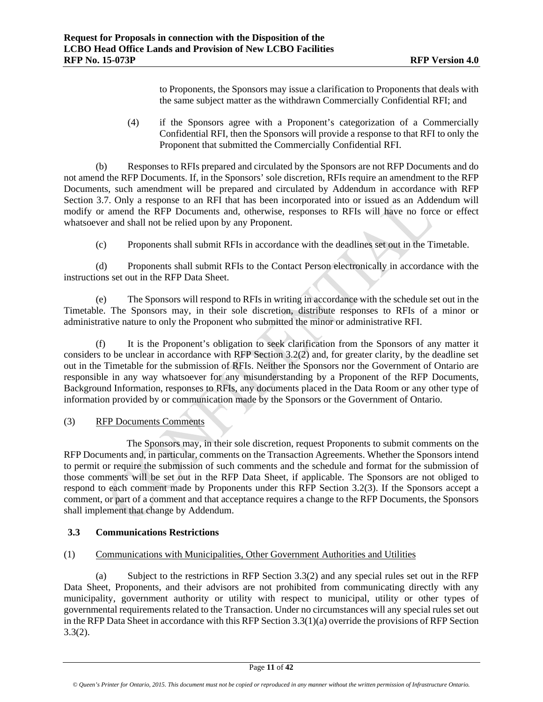to Proponents, the Sponsors may issue a clarification to Proponents that deals with the same subject matter as the withdrawn Commercially Confidential RFI; and

(4) if the Sponsors agree with a Proponent's categorization of a Commercially Confidential RFI, then the Sponsors will provide a response to that RFI to only the Proponent that submitted the Commercially Confidential RFI.

(b) Responses to RFIs prepared and circulated by the Sponsors are not RFP Documents and do not amend the RFP Documents. If, in the Sponsors' sole discretion, RFIs require an amendment to the RFP Documents, such amendment will be prepared and circulated by Addendum in accordance with RFP Section 3.7. Only a response to an RFI that has been incorporated into or issued as an Addendum will modify or amend the RFP Documents and, otherwise, responses to RFIs will have no force or effect whatsoever and shall not be relied upon by any Proponent.

(c) Proponents shall submit RFIs in accordance with the deadlines set out in the Timetable.

(d) Proponents shall submit RFIs to the Contact Person electronically in accordance with the instructions set out in the RFP Data Sheet.

(e) The Sponsors will respond to RFIs in writing in accordance with the schedule set out in the Timetable. The Sponsors may, in their sole discretion, distribute responses to RFIs of a minor or administrative nature to only the Proponent who submitted the minor or administrative RFI.

(f) It is the Proponent's obligation to seek clarification from the Sponsors of any matter it considers to be unclear in accordance with RFP Section 3.2(2) and, for greater clarity, by the deadline set out in the Timetable for the submission of RFIs. Neither the Sponsors nor the Government of Ontario are responsible in any way whatsoever for any misunderstanding by a Proponent of the RFP Documents, Background Information, responses to RFIs, any documents placed in the Data Room or any other type of information provided by or communication made by the Sponsors or the Government of Ontario.

# (3) RFP Documents Comments

The Sponsors may, in their sole discretion, request Proponents to submit comments on the RFP Documents and, in particular, comments on the Transaction Agreements. Whether the Sponsors intend to permit or require the submission of such comments and the schedule and format for the submission of those comments will be set out in the RFP Data Sheet, if applicable. The Sponsors are not obliged to respond to each comment made by Proponents under this RFP Section 3.2(3). If the Sponsors accept a comment, or part of a comment and that acceptance requires a change to the RFP Documents, the Sponsors shall implement that change by Addendum.

# **3.3 Communications Restrictions**

# (1) Communications with Municipalities, Other Government Authorities and Utilities

(a) Subject to the restrictions in RFP Section 3.3(2) and any special rules set out in the RFP Data Sheet, Proponents, and their advisors are not prohibited from communicating directly with any municipality, government authority or utility with respect to municipal, utility or other types of governmental requirements related to the Transaction. Under no circumstances will any special rules set out in the RFP Data Sheet in accordance with this RFP Section 3.3(1)(a) override the provisions of RFP Section 3.3(2).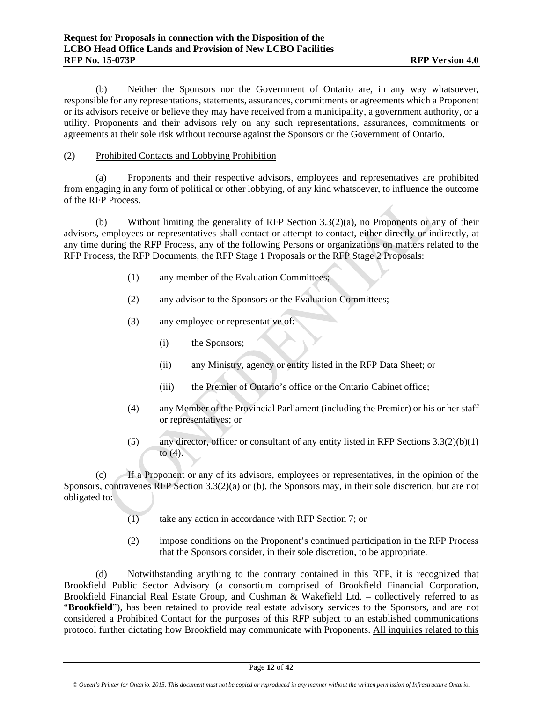(b) Neither the Sponsors nor the Government of Ontario are, in any way whatsoever, responsible for any representations, statements, assurances, commitments or agreements which a Proponent or its advisors receive or believe they may have received from a municipality, a government authority, or a utility. Proponents and their advisors rely on any such representations, assurances, commitments or agreements at their sole risk without recourse against the Sponsors or the Government of Ontario.

## (2) Prohibited Contacts and Lobbying Prohibition

(a) Proponents and their respective advisors, employees and representatives are prohibited from engaging in any form of political or other lobbying, of any kind whatsoever, to influence the outcome of the RFP Process.

(b) Without limiting the generality of RFP Section 3.3(2)(a), no Proponents or any of their advisors, employees or representatives shall contact or attempt to contact, either directly or indirectly, at any time during the RFP Process, any of the following Persons or organizations on matters related to the RFP Process, the RFP Documents, the RFP Stage 1 Proposals or the RFP Stage 2 Proposals:

- (1) any member of the Evaluation Committees;
- (2) any advisor to the Sponsors or the Evaluation Committees;
- (3) any employee or representative of:
	- (i) the Sponsors;
	- (ii) any Ministry, agency or entity listed in the RFP Data Sheet; or
	- (iii) the Premier of Ontario's office or the Ontario Cabinet office;
- (4) any Member of the Provincial Parliament (including the Premier) or his or her staff or representatives; or
- (5) any director, officer or consultant of any entity listed in RFP Sections 3.3(2)(b)(1) to  $(4)$ .

(c) If a Proponent or any of its advisors, employees or representatives, in the opinion of the Sponsors, contravenes RFP Section 3.3(2)(a) or (b), the Sponsors may, in their sole discretion, but are not obligated to:

- (1) take any action in accordance with RFP Section 7; or
- (2) impose conditions on the Proponent's continued participation in the RFP Process that the Sponsors consider, in their sole discretion, to be appropriate.

(d) Notwithstanding anything to the contrary contained in this RFP, it is recognized that Brookfield Public Sector Advisory (a consortium comprised of Brookfield Financial Corporation, Brookfield Financial Real Estate Group, and Cushman & Wakefield Ltd. – collectively referred to as "**Brookfield**"), has been retained to provide real estate advisory services to the Sponsors, and are not considered a Prohibited Contact for the purposes of this RFP subject to an established communications protocol further dictating how Brookfield may communicate with Proponents. All inquiries related to this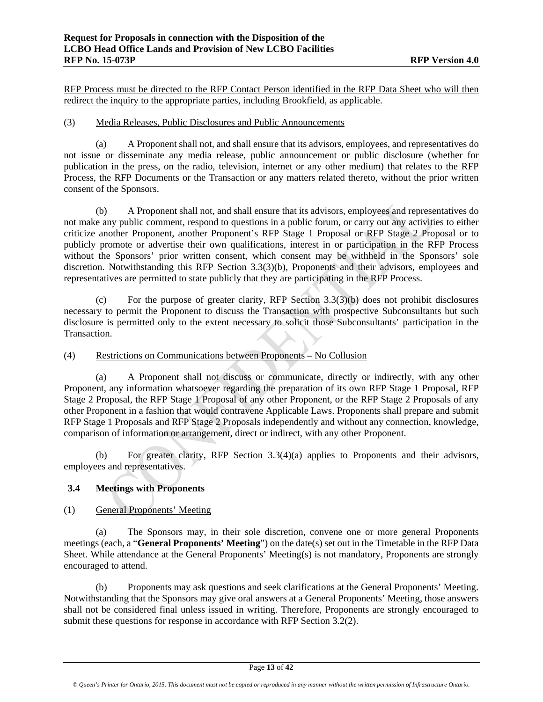RFP Process must be directed to the RFP Contact Person identified in the RFP Data Sheet who will then redirect the inquiry to the appropriate parties, including Brookfield, as applicable.

#### (3) Media Releases, Public Disclosures and Public Announcements

(a) A Proponent shall not, and shall ensure that its advisors, employees, and representatives do not issue or disseminate any media release, public announcement or public disclosure (whether for publication in the press, on the radio, television, internet or any other medium) that relates to the RFP Process, the RFP Documents or the Transaction or any matters related thereto, without the prior written consent of the Sponsors.

(b) A Proponent shall not, and shall ensure that its advisors, employees and representatives do not make any public comment, respond to questions in a public forum, or carry out any activities to either criticize another Proponent, another Proponent's RFP Stage 1 Proposal or RFP Stage 2 Proposal or to publicly promote or advertise their own qualifications, interest in or participation in the RFP Process without the Sponsors' prior written consent, which consent may be withheld in the Sponsors' sole discretion. Notwithstanding this RFP Section 3.3(3)(b), Proponents and their advisors, employees and representatives are permitted to state publicly that they are participating in the RFP Process.

(c) For the purpose of greater clarity, RFP Section 3.3(3)(b) does not prohibit disclosures necessary to permit the Proponent to discuss the Transaction with prospective Subconsultants but such disclosure is permitted only to the extent necessary to solicit those Subconsultants' participation in the Transaction.

# (4) Restrictions on Communications between Proponents – No Collusion

(a) A Proponent shall not discuss or communicate, directly or indirectly, with any other Proponent, any information whatsoever regarding the preparation of its own RFP Stage 1 Proposal, RFP Stage 2 Proposal, the RFP Stage 1 Proposal of any other Proponent, or the RFP Stage 2 Proposals of any other Proponent in a fashion that would contravene Applicable Laws. Proponents shall prepare and submit RFP Stage 1 Proposals and RFP Stage 2 Proposals independently and without any connection, knowledge, comparison of information or arrangement, direct or indirect, with any other Proponent.

(b) For greater clarity, RFP Section 3.3(4)(a) applies to Proponents and their advisors, employees and representatives.

# **3.4 Meetings with Proponents**

# (1) General Proponents' Meeting

(a) The Sponsors may, in their sole discretion, convene one or more general Proponents meetings (each, a "**General Proponents' Meeting**") on the date(s) set out in the Timetable in the RFP Data Sheet. While attendance at the General Proponents' Meeting(s) is not mandatory, Proponents are strongly encouraged to attend.

(b) Proponents may ask questions and seek clarifications at the General Proponents' Meeting. Notwithstanding that the Sponsors may give oral answers at a General Proponents' Meeting, those answers shall not be considered final unless issued in writing. Therefore, Proponents are strongly encouraged to submit these questions for response in accordance with RFP Section 3.2(2).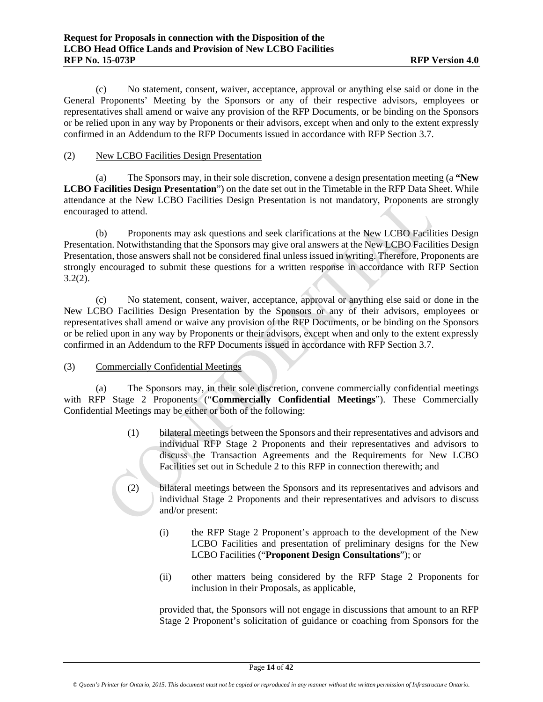(c) No statement, consent, waiver, acceptance, approval or anything else said or done in the General Proponents' Meeting by the Sponsors or any of their respective advisors, employees or representatives shall amend or waive any provision of the RFP Documents, or be binding on the Sponsors or be relied upon in any way by Proponents or their advisors, except when and only to the extent expressly confirmed in an Addendum to the RFP Documents issued in accordance with RFP Section 3.7.

## (2) New LCBO Facilities Design Presentation

(a) The Sponsors may, in their sole discretion, convene a design presentation meeting (a **"New LCBO Facilities Design Presentation**") on the date set out in the Timetable in the RFP Data Sheet. While attendance at the New LCBO Facilities Design Presentation is not mandatory, Proponents are strongly encouraged to attend.

(b) Proponents may ask questions and seek clarifications at the New LCBO Facilities Design Presentation. Notwithstanding that the Sponsors may give oral answers at the New LCBO Facilities Design Presentation, those answers shall not be considered final unless issued in writing. Therefore, Proponents are strongly encouraged to submit these questions for a written response in accordance with RFP Section  $3.2(2)$ .

(c) No statement, consent, waiver, acceptance, approval or anything else said or done in the New LCBO Facilities Design Presentation by the Sponsors or any of their advisors, employees or representatives shall amend or waive any provision of the RFP Documents, or be binding on the Sponsors or be relied upon in any way by Proponents or their advisors, except when and only to the extent expressly confirmed in an Addendum to the RFP Documents issued in accordance with RFP Section 3.7.

# (3) Commercially Confidential Meetings

(a) The Sponsors may, in their sole discretion, convene commercially confidential meetings with RFP Stage 2 Proponents ("**Commercially Confidential Meetings**"). These Commercially Confidential Meetings may be either or both of the following:

- (1) bilateral meetings between the Sponsors and their representatives and advisors and individual RFP Stage 2 Proponents and their representatives and advisors to discuss the Transaction Agreements and the Requirements for New LCBO Facilities set out in Schedule 2 to this RFP in connection therewith; and
- (2) bilateral meetings between the Sponsors and its representatives and advisors and individual Stage 2 Proponents and their representatives and advisors to discuss and/or present:
	- (i) the RFP Stage 2 Proponent's approach to the development of the New LCBO Facilities and presentation of preliminary designs for the New LCBO Facilities ("**Proponent Design Consultations**"); or
	- (ii) other matters being considered by the RFP Stage 2 Proponents for inclusion in their Proposals, as applicable,

provided that, the Sponsors will not engage in discussions that amount to an RFP Stage 2 Proponent's solicitation of guidance or coaching from Sponsors for the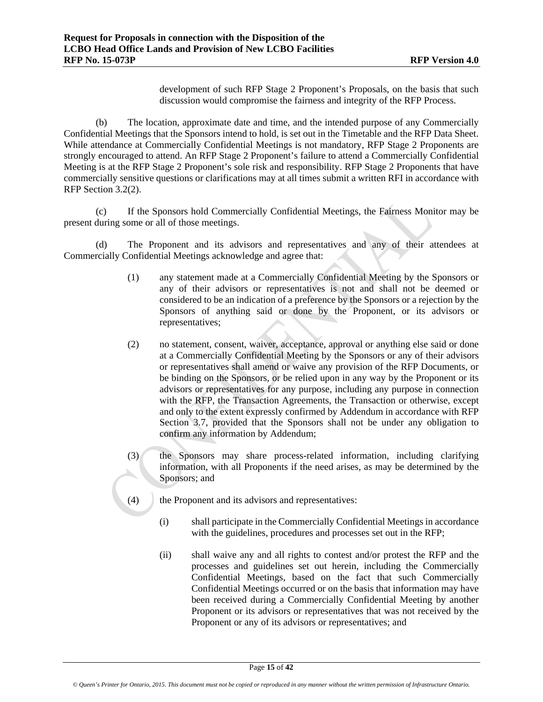development of such RFP Stage 2 Proponent's Proposals, on the basis that such discussion would compromise the fairness and integrity of the RFP Process.

(b) The location, approximate date and time, and the intended purpose of any Commercially Confidential Meetings that the Sponsors intend to hold, is set out in the Timetable and the RFP Data Sheet. While attendance at Commercially Confidential Meetings is not mandatory, RFP Stage 2 Proponents are strongly encouraged to attend. An RFP Stage 2 Proponent's failure to attend a Commercially Confidential Meeting is at the RFP Stage 2 Proponent's sole risk and responsibility. RFP Stage 2 Proponents that have commercially sensitive questions or clarifications may at all times submit a written RFI in accordance with RFP Section 3.2(2).

(c) If the Sponsors hold Commercially Confidential Meetings, the Fairness Monitor may be present during some or all of those meetings.

(d) The Proponent and its advisors and representatives and any of their attendees at Commercially Confidential Meetings acknowledge and agree that:

- (1) any statement made at a Commercially Confidential Meeting by the Sponsors or any of their advisors or representatives is not and shall not be deemed or considered to be an indication of a preference by the Sponsors or a rejection by the Sponsors of anything said or done by the Proponent, or its advisors or representatives;
- (2) no statement, consent, waiver, acceptance, approval or anything else said or done at a Commercially Confidential Meeting by the Sponsors or any of their advisors or representatives shall amend or waive any provision of the RFP Documents, or be binding on the Sponsors, or be relied upon in any way by the Proponent or its advisors or representatives for any purpose, including any purpose in connection with the RFP, the Transaction Agreements, the Transaction or otherwise, except and only to the extent expressly confirmed by Addendum in accordance with RFP Section 3.7, provided that the Sponsors shall not be under any obligation to confirm any information by Addendum;
- (3) the Sponsors may share process-related information, including clarifying information, with all Proponents if the need arises, as may be determined by the Sponsors; and
- (4) the Proponent and its advisors and representatives:
	- (i) shall participate in the Commercially Confidential Meetings in accordance with the guidelines, procedures and processes set out in the RFP;
	- (ii) shall waive any and all rights to contest and/or protest the RFP and the processes and guidelines set out herein, including the Commercially Confidential Meetings, based on the fact that such Commercially Confidential Meetings occurred or on the basis that information may have been received during a Commercially Confidential Meeting by another Proponent or its advisors or representatives that was not received by the Proponent or any of its advisors or representatives; and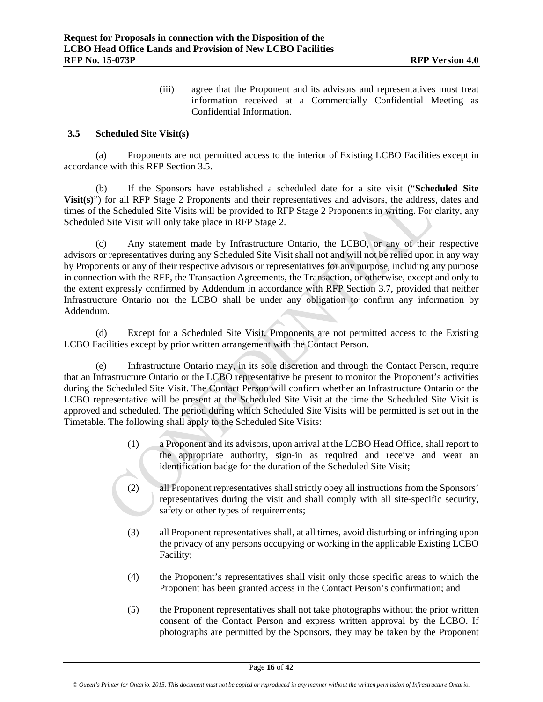(iii) agree that the Proponent and its advisors and representatives must treat information received at a Commercially Confidential Meeting as Confidential Information.

#### **3.5 Scheduled Site Visit(s)**

(a) Proponents are not permitted access to the interior of Existing LCBO Facilities except in accordance with this RFP Section 3.5.

(b) If the Sponsors have established a scheduled date for a site visit ("**Scheduled Site Visit(s)**") for all RFP Stage 2 Proponents and their representatives and advisors, the address, dates and times of the Scheduled Site Visits will be provided to RFP Stage 2 Proponents in writing. For clarity, any Scheduled Site Visit will only take place in RFP Stage 2.

(c) Any statement made by Infrastructure Ontario, the LCBO, or any of their respective advisors or representatives during any Scheduled Site Visit shall not and will not be relied upon in any way by Proponents or any of their respective advisors or representatives for any purpose, including any purpose in connection with the RFP, the Transaction Agreements, the Transaction, or otherwise, except and only to the extent expressly confirmed by Addendum in accordance with RFP Section 3.7, provided that neither Infrastructure Ontario nor the LCBO shall be under any obligation to confirm any information by Addendum.

(d) Except for a Scheduled Site Visit, Proponents are not permitted access to the Existing LCBO Facilities except by prior written arrangement with the Contact Person.

(e) Infrastructure Ontario may, in its sole discretion and through the Contact Person, require that an Infrastructure Ontario or the LCBO representative be present to monitor the Proponent's activities during the Scheduled Site Visit. The Contact Person will confirm whether an Infrastructure Ontario or the LCBO representative will be present at the Scheduled Site Visit at the time the Scheduled Site Visit is approved and scheduled. The period during which Scheduled Site Visits will be permitted is set out in the Timetable. The following shall apply to the Scheduled Site Visits:

- (1) a Proponent and its advisors, upon arrival at the LCBO Head Office, shall report to the appropriate authority, sign-in as required and receive and wear an identification badge for the duration of the Scheduled Site Visit;
- (2) all Proponent representatives shall strictly obey all instructions from the Sponsors' representatives during the visit and shall comply with all site-specific security, safety or other types of requirements;
- (3) all Proponent representatives shall, at all times, avoid disturbing or infringing upon the privacy of any persons occupying or working in the applicable Existing LCBO Facility;
- (4) the Proponent's representatives shall visit only those specific areas to which the Proponent has been granted access in the Contact Person's confirmation; and
- (5) the Proponent representatives shall not take photographs without the prior written consent of the Contact Person and express written approval by the LCBO. If photographs are permitted by the Sponsors, they may be taken by the Proponent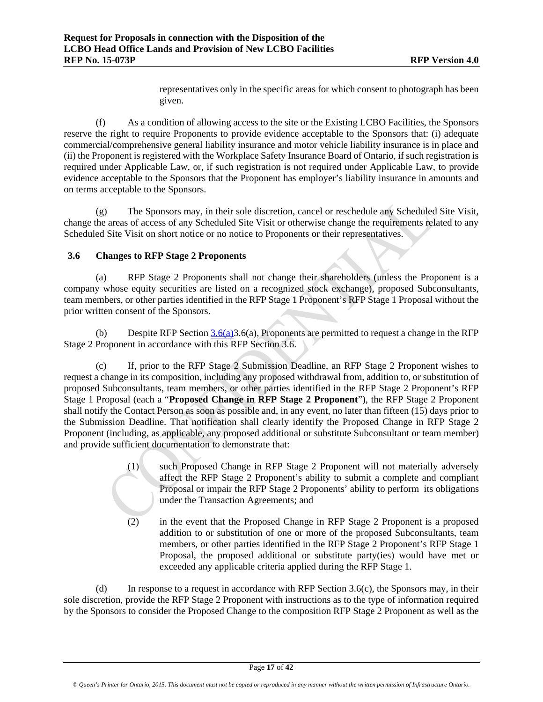representatives only in the specific areas for which consent to photograph has been given.

(f) As a condition of allowing access to the site or the Existing LCBO Facilities, the Sponsors reserve the right to require Proponents to provide evidence acceptable to the Sponsors that: (i) adequate commercial/comprehensive general liability insurance and motor vehicle liability insurance is in place and (ii) the Proponent is registered with the Workplace Safety Insurance Board of Ontario, if such registration is required under Applicable Law, or, if such registration is not required under Applicable Law, to provide evidence acceptable to the Sponsors that the Proponent has employer's liability insurance in amounts and on terms acceptable to the Sponsors.

(g) The Sponsors may, in their sole discretion, cancel or reschedule any Scheduled Site Visit, change the areas of access of any Scheduled Site Visit or otherwise change the requirements related to any Scheduled Site Visit on short notice or no notice to Proponents or their representatives.

# **3.6 Changes to RFP Stage 2 Proponents**

(a) RFP Stage 2 Proponents shall not change their shareholders (unless the Proponent is a company whose equity securities are listed on a recognized stock exchange), proposed Subconsultants, team members, or other parties identified in the RFP Stage 1 Proponent's RFP Stage 1 Proposal without the prior written consent of the Sponsors.

(b) Despite RFP Section  $3.6(a)3.6(a)$ , Proponents are permitted to request a change in the RFP Stage 2 Proponent in accordance with this RFP Section 3.6.

(c) If, prior to the RFP Stage 2 Submission Deadline, an RFP Stage 2 Proponent wishes to request a change in its composition, including any proposed withdrawal from, addition to, or substitution of proposed Subconsultants, team members, or other parties identified in the RFP Stage 2 Proponent's RFP Stage 1 Proposal (each a "**Proposed Change in RFP Stage 2 Proponent**"), the RFP Stage 2 Proponent shall notify the Contact Person as soon as possible and, in any event, no later than fifteen (15) days prior to the Submission Deadline. That notification shall clearly identify the Proposed Change in RFP Stage 2 Proponent (including, as applicable, any proposed additional or substitute Subconsultant or team member) and provide sufficient documentation to demonstrate that:

- (1) such Proposed Change in RFP Stage 2 Proponent will not materially adversely affect the RFP Stage 2 Proponent's ability to submit a complete and compliant Proposal or impair the RFP Stage 2 Proponents' ability to perform its obligations under the Transaction Agreements; and
- (2) in the event that the Proposed Change in RFP Stage 2 Proponent is a proposed addition to or substitution of one or more of the proposed Subconsultants, team members, or other parties identified in the RFP Stage 2 Proponent's RFP Stage 1 Proposal, the proposed additional or substitute party(ies) would have met or exceeded any applicable criteria applied during the RFP Stage 1.

(d) In response to a request in accordance with RFP Section 3.6(c), the Sponsors may, in their sole discretion, provide the RFP Stage 2 Proponent with instructions as to the type of information required by the Sponsors to consider the Proposed Change to the composition RFP Stage 2 Proponent as well as the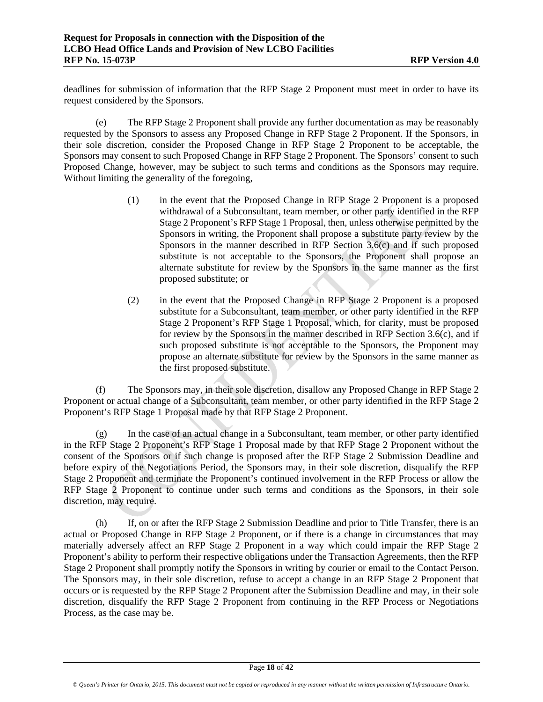deadlines for submission of information that the RFP Stage 2 Proponent must meet in order to have its request considered by the Sponsors.

(e) The RFP Stage 2 Proponent shall provide any further documentation as may be reasonably requested by the Sponsors to assess any Proposed Change in RFP Stage 2 Proponent. If the Sponsors, in their sole discretion, consider the Proposed Change in RFP Stage 2 Proponent to be acceptable, the Sponsors may consent to such Proposed Change in RFP Stage 2 Proponent. The Sponsors' consent to such Proposed Change, however, may be subject to such terms and conditions as the Sponsors may require. Without limiting the generality of the foregoing,

- (1) in the event that the Proposed Change in RFP Stage 2 Proponent is a proposed withdrawal of a Subconsultant, team member, or other party identified in the RFP Stage 2 Proponent's RFP Stage 1 Proposal, then, unless otherwise permitted by the Sponsors in writing, the Proponent shall propose a substitute party review by the Sponsors in the manner described in RFP Section 3.6(c) and if such proposed substitute is not acceptable to the Sponsors, the Proponent shall propose an alternate substitute for review by the Sponsors in the same manner as the first proposed substitute; or
- (2) in the event that the Proposed Change in RFP Stage 2 Proponent is a proposed substitute for a Subconsultant, team member, or other party identified in the RFP Stage 2 Proponent's RFP Stage 1 Proposal, which, for clarity, must be proposed for review by the Sponsors in the manner described in RFP Section 3.6(c), and if such proposed substitute is not acceptable to the Sponsors, the Proponent may propose an alternate substitute for review by the Sponsors in the same manner as the first proposed substitute.

(f) The Sponsors may, in their sole discretion, disallow any Proposed Change in RFP Stage 2 Proponent or actual change of a Subconsultant, team member, or other party identified in the RFP Stage 2 Proponent's RFP Stage 1 Proposal made by that RFP Stage 2 Proponent.

(g) In the case of an actual change in a Subconsultant, team member, or other party identified in the RFP Stage 2 Proponent's RFP Stage 1 Proposal made by that RFP Stage 2 Proponent without the consent of the Sponsors or if such change is proposed after the RFP Stage 2 Submission Deadline and before expiry of the Negotiations Period, the Sponsors may, in their sole discretion, disqualify the RFP Stage 2 Proponent and terminate the Proponent's continued involvement in the RFP Process or allow the RFP Stage 2 Proponent to continue under such terms and conditions as the Sponsors, in their sole discretion, may require.

(h) If, on or after the RFP Stage 2 Submission Deadline and prior to Title Transfer, there is an actual or Proposed Change in RFP Stage 2 Proponent, or if there is a change in circumstances that may materially adversely affect an RFP Stage 2 Proponent in a way which could impair the RFP Stage 2 Proponent's ability to perform their respective obligations under the Transaction Agreements, then the RFP Stage 2 Proponent shall promptly notify the Sponsors in writing by courier or email to the Contact Person. The Sponsors may, in their sole discretion, refuse to accept a change in an RFP Stage 2 Proponent that occurs or is requested by the RFP Stage 2 Proponent after the Submission Deadline and may, in their sole discretion, disqualify the RFP Stage 2 Proponent from continuing in the RFP Process or Negotiations Process, as the case may be.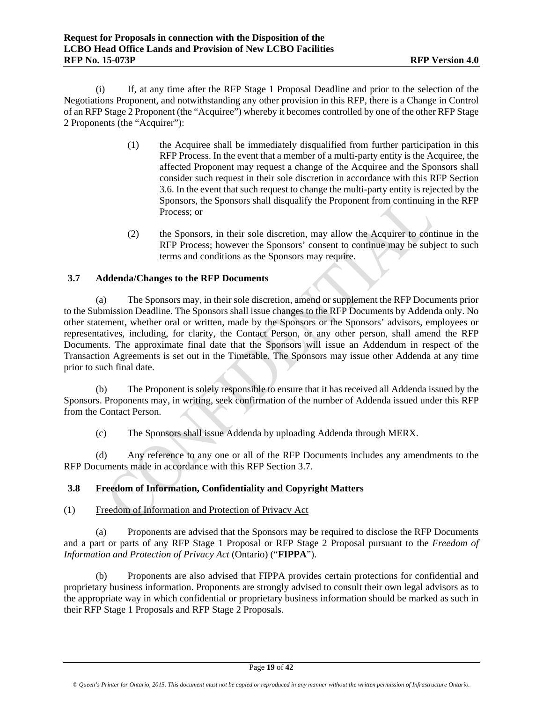(i) If, at any time after the RFP Stage 1 Proposal Deadline and prior to the selection of the Negotiations Proponent, and notwithstanding any other provision in this RFP, there is a Change in Control of an RFP Stage 2 Proponent (the "Acquiree") whereby it becomes controlled by one of the other RFP Stage 2 Proponents (the "Acquirer"):

- (1) the Acquiree shall be immediately disqualified from further participation in this RFP Process. In the event that a member of a multi-party entity is the Acquiree, the affected Proponent may request a change of the Acquiree and the Sponsors shall consider such request in their sole discretion in accordance with this RFP Section 3.6. In the event that such request to change the multi-party entity is rejected by the Sponsors, the Sponsors shall disqualify the Proponent from continuing in the RFP Process; or
- (2) the Sponsors, in their sole discretion, may allow the Acquirer to continue in the RFP Process; however the Sponsors' consent to continue may be subject to such terms and conditions as the Sponsors may require.

# **3.7 Addenda/Changes to the RFP Documents**

(a) The Sponsors may, in their sole discretion, amend or supplement the RFP Documents prior to the Submission Deadline. The Sponsors shall issue changes to the RFP Documents by Addenda only. No other statement, whether oral or written, made by the Sponsors or the Sponsors' advisors, employees or representatives, including, for clarity, the Contact Person, or any other person, shall amend the RFP Documents. The approximate final date that the Sponsors will issue an Addendum in respect of the Transaction Agreements is set out in the Timetable. The Sponsors may issue other Addenda at any time prior to such final date.

(b) The Proponent is solely responsible to ensure that it has received all Addenda issued by the Sponsors. Proponents may, in writing, seek confirmation of the number of Addenda issued under this RFP from the Contact Person.

(c) The Sponsors shall issue Addenda by uploading Addenda through MERX.

(d) Any reference to any one or all of the RFP Documents includes any amendments to the RFP Documents made in accordance with this RFP Section 3.7.

# **3.8 Freedom of Information, Confidentiality and Copyright Matters**

# (1) Freedom of Information and Protection of Privacy Act

(a) Proponents are advised that the Sponsors may be required to disclose the RFP Documents and a part or parts of any RFP Stage 1 Proposal or RFP Stage 2 Proposal pursuant to the *Freedom of Information and Protection of Privacy Act* (Ontario) ("**FIPPA**").

(b) Proponents are also advised that FIPPA provides certain protections for confidential and proprietary business information. Proponents are strongly advised to consult their own legal advisors as to the appropriate way in which confidential or proprietary business information should be marked as such in their RFP Stage 1 Proposals and RFP Stage 2 Proposals.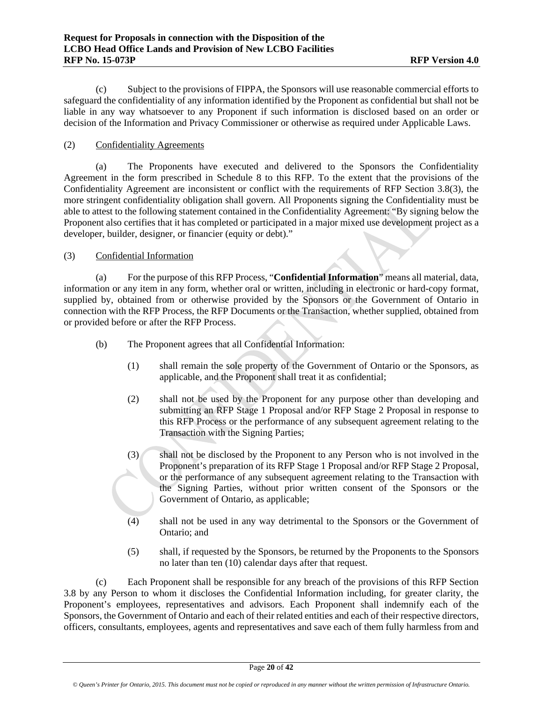(c) Subject to the provisions of FIPPA, the Sponsors will use reasonable commercial efforts to safeguard the confidentiality of any information identified by the Proponent as confidential but shall not be liable in any way whatsoever to any Proponent if such information is disclosed based on an order or decision of the Information and Privacy Commissioner or otherwise as required under Applicable Laws.

## (2) Confidentiality Agreements

(a) The Proponents have executed and delivered to the Sponsors the Confidentiality Agreement in the form prescribed in Schedule 8 to this RFP. To the extent that the provisions of the Confidentiality Agreement are inconsistent or conflict with the requirements of RFP Section 3.8(3), the more stringent confidentiality obligation shall govern. All Proponents signing the Confidentiality must be able to attest to the following statement contained in the Confidentiality Agreement: "By signing below the Proponent also certifies that it has completed or participated in a major mixed use development project as a developer, builder, designer, or financier (equity or debt)."

#### (3) Confidential Information

(a) For the purpose of this RFP Process, "**Confidential Information**" means all material, data, information or any item in any form, whether oral or written, including in electronic or hard-copy format, supplied by, obtained from or otherwise provided by the Sponsors or the Government of Ontario in connection with the RFP Process, the RFP Documents or the Transaction, whether supplied, obtained from or provided before or after the RFP Process.

- (b) The Proponent agrees that all Confidential Information:
	- (1) shall remain the sole property of the Government of Ontario or the Sponsors, as applicable, and the Proponent shall treat it as confidential;
	- (2) shall not be used by the Proponent for any purpose other than developing and submitting an RFP Stage 1 Proposal and/or RFP Stage 2 Proposal in response to this RFP Process or the performance of any subsequent agreement relating to the Transaction with the Signing Parties;
	- (3) shall not be disclosed by the Proponent to any Person who is not involved in the Proponent's preparation of its RFP Stage 1 Proposal and/or RFP Stage 2 Proposal, or the performance of any subsequent agreement relating to the Transaction with the Signing Parties, without prior written consent of the Sponsors or the Government of Ontario, as applicable;
	- (4) shall not be used in any way detrimental to the Sponsors or the Government of Ontario; and
	- (5) shall, if requested by the Sponsors, be returned by the Proponents to the Sponsors no later than ten (10) calendar days after that request.

(c) Each Proponent shall be responsible for any breach of the provisions of this RFP Section 3.8 by any Person to whom it discloses the Confidential Information including, for greater clarity, the Proponent's employees, representatives and advisors. Each Proponent shall indemnify each of the Sponsors, the Government of Ontario and each of their related entities and each of their respective directors, officers, consultants, employees, agents and representatives and save each of them fully harmless from and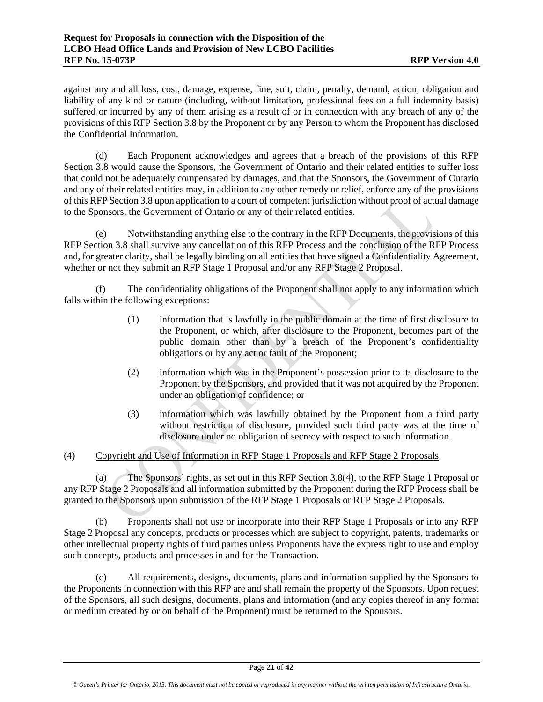against any and all loss, cost, damage, expense, fine, suit, claim, penalty, demand, action, obligation and liability of any kind or nature (including, without limitation, professional fees on a full indemnity basis) suffered or incurred by any of them arising as a result of or in connection with any breach of any of the provisions of this RFP Section 3.8 by the Proponent or by any Person to whom the Proponent has disclosed the Confidential Information.

(d) Each Proponent acknowledges and agrees that a breach of the provisions of this RFP Section 3.8 would cause the Sponsors, the Government of Ontario and their related entities to suffer loss that could not be adequately compensated by damages, and that the Sponsors, the Government of Ontario and any of their related entities may, in addition to any other remedy or relief, enforce any of the provisions of this RFP Section 3.8 upon application to a court of competent jurisdiction without proof of actual damage to the Sponsors, the Government of Ontario or any of their related entities.

(e) Notwithstanding anything else to the contrary in the RFP Documents, the provisions of this RFP Section 3.8 shall survive any cancellation of this RFP Process and the conclusion of the RFP Process and, for greater clarity, shall be legally binding on all entities that have signed a Confidentiality Agreement, whether or not they submit an RFP Stage 1 Proposal and/or any RFP Stage 2 Proposal.

(f) The confidentiality obligations of the Proponent shall not apply to any information which falls within the following exceptions:

- (1) information that is lawfully in the public domain at the time of first disclosure to the Proponent, or which, after disclosure to the Proponent, becomes part of the public domain other than by a breach of the Proponent's confidentiality obligations or by any act or fault of the Proponent;
- (2) information which was in the Proponent's possession prior to its disclosure to the Proponent by the Sponsors, and provided that it was not acquired by the Proponent under an obligation of confidence; or
- (3) information which was lawfully obtained by the Proponent from a third party without restriction of disclosure, provided such third party was at the time of disclosure under no obligation of secrecy with respect to such information.

# (4) Copyright and Use of Information in RFP Stage 1 Proposals and RFP Stage 2 Proposals

(a) The Sponsors' rights, as set out in this RFP Section 3.8(4), to the RFP Stage 1 Proposal or any RFP Stage 2 Proposals and all information submitted by the Proponent during the RFP Process shall be granted to the Sponsors upon submission of the RFP Stage 1 Proposals or RFP Stage 2 Proposals.

(b) Proponents shall not use or incorporate into their RFP Stage 1 Proposals or into any RFP Stage 2 Proposal any concepts, products or processes which are subject to copyright, patents, trademarks or other intellectual property rights of third parties unless Proponents have the express right to use and employ such concepts, products and processes in and for the Transaction.

(c) All requirements, designs, documents, plans and information supplied by the Sponsors to the Proponents in connection with this RFP are and shall remain the property of the Sponsors. Upon request of the Sponsors, all such designs, documents, plans and information (and any copies thereof in any format or medium created by or on behalf of the Proponent) must be returned to the Sponsors.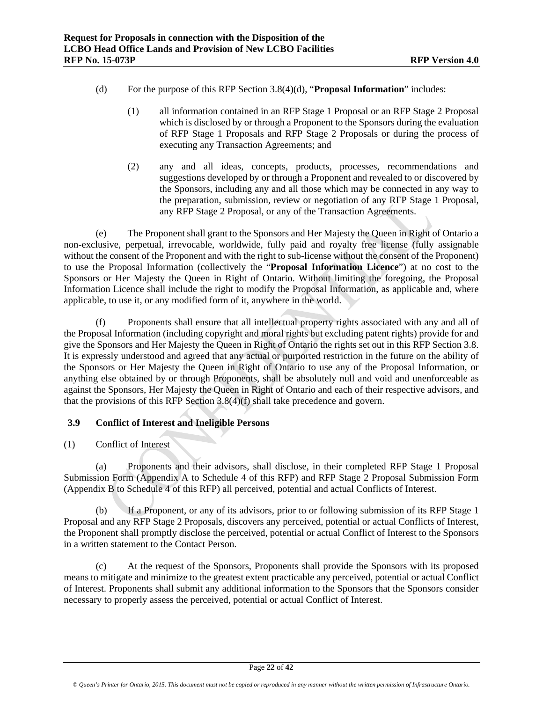- (d) For the purpose of this RFP Section 3.8(4)(d), "**Proposal Information**" includes:
	- (1) all information contained in an RFP Stage 1 Proposal or an RFP Stage 2 Proposal which is disclosed by or through a Proponent to the Sponsors during the evaluation of RFP Stage 1 Proposals and RFP Stage 2 Proposals or during the process of executing any Transaction Agreements; and
	- (2) any and all ideas, concepts, products, processes, recommendations and suggestions developed by or through a Proponent and revealed to or discovered by the Sponsors, including any and all those which may be connected in any way to the preparation, submission, review or negotiation of any RFP Stage 1 Proposal, any RFP Stage 2 Proposal, or any of the Transaction Agreements.

(e) The Proponent shall grant to the Sponsors and Her Majesty the Queen in Right of Ontario a non-exclusive, perpetual, irrevocable, worldwide, fully paid and royalty free license (fully assignable without the consent of the Proponent and with the right to sub-license without the consent of the Proponent) to use the Proposal Information (collectively the "**Proposal Information Licence**") at no cost to the Sponsors or Her Majesty the Queen in Right of Ontario. Without limiting the foregoing, the Proposal Information Licence shall include the right to modify the Proposal Information, as applicable and, where applicable, to use it, or any modified form of it, anywhere in the world.

(f) Proponents shall ensure that all intellectual property rights associated with any and all of the Proposal Information (including copyright and moral rights but excluding patent rights) provide for and give the Sponsors and Her Majesty the Queen in Right of Ontario the rights set out in this RFP Section 3.8. It is expressly understood and agreed that any actual or purported restriction in the future on the ability of the Sponsors or Her Majesty the Queen in Right of Ontario to use any of the Proposal Information, or anything else obtained by or through Proponents, shall be absolutely null and void and unenforceable as against the Sponsors, Her Majesty the Queen in Right of Ontario and each of their respective advisors, and that the provisions of this RFP Section 3.8(4)(f) shall take precedence and govern.

# **3.9 Conflict of Interest and Ineligible Persons**

(1) Conflict of Interest

(a) Proponents and their advisors, shall disclose, in their completed RFP Stage 1 Proposal Submission Form (Appendix A to Schedule 4 of this RFP) and RFP Stage 2 Proposal Submission Form (Appendix B to Schedule 4 of this RFP) all perceived, potential and actual Conflicts of Interest.

(b) If a Proponent, or any of its advisors, prior to or following submission of its RFP Stage 1 Proposal and any RFP Stage 2 Proposals, discovers any perceived, potential or actual Conflicts of Interest, the Proponent shall promptly disclose the perceived, potential or actual Conflict of Interest to the Sponsors in a written statement to the Contact Person.

(c) At the request of the Sponsors, Proponents shall provide the Sponsors with its proposed means to mitigate and minimize to the greatest extent practicable any perceived, potential or actual Conflict of Interest. Proponents shall submit any additional information to the Sponsors that the Sponsors consider necessary to properly assess the perceived, potential or actual Conflict of Interest.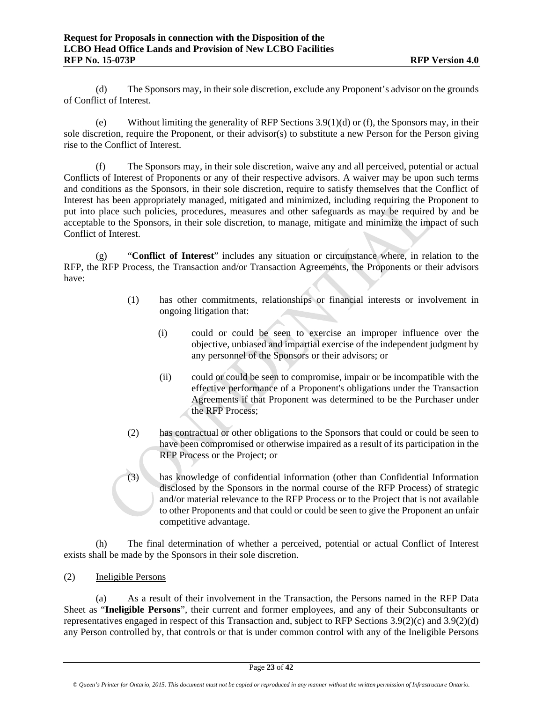(d) The Sponsors may, in their sole discretion, exclude any Proponent's advisor on the grounds of Conflict of Interest.

(e) Without limiting the generality of RFP Sections 3.9(1)(d) or (f), the Sponsors may, in their sole discretion, require the Proponent, or their advisor(s) to substitute a new Person for the Person giving rise to the Conflict of Interest.

(f) The Sponsors may, in their sole discretion, waive any and all perceived, potential or actual Conflicts of Interest of Proponents or any of their respective advisors. A waiver may be upon such terms and conditions as the Sponsors, in their sole discretion, require to satisfy themselves that the Conflict of Interest has been appropriately managed, mitigated and minimized, including requiring the Proponent to put into place such policies, procedures, measures and other safeguards as may be required by and be acceptable to the Sponsors, in their sole discretion, to manage, mitigate and minimize the impact of such Conflict of Interest.

(g) "**Conflict of Interest**" includes any situation or circumstance where, in relation to the RFP, the RFP Process, the Transaction and/or Transaction Agreements, the Proponents or their advisors have:

- (1) has other commitments, relationships or financial interests or involvement in ongoing litigation that:
	- (i) could or could be seen to exercise an improper influence over the objective, unbiased and impartial exercise of the independent judgment by any personnel of the Sponsors or their advisors; or
	- (ii) could or could be seen to compromise, impair or be incompatible with the effective performance of a Proponent's obligations under the Transaction Agreements if that Proponent was determined to be the Purchaser under the RFP Process;
- (2) has contractual or other obligations to the Sponsors that could or could be seen to have been compromised or otherwise impaired as a result of its participation in the RFP Process or the Project; or
- (3) has knowledge of confidential information (other than Confidential Information disclosed by the Sponsors in the normal course of the RFP Process) of strategic and/or material relevance to the RFP Process or to the Project that is not available to other Proponents and that could or could be seen to give the Proponent an unfair competitive advantage.

(h) The final determination of whether a perceived, potential or actual Conflict of Interest exists shall be made by the Sponsors in their sole discretion.

(2) Ineligible Persons

(a) As a result of their involvement in the Transaction, the Persons named in the RFP Data Sheet as "**Ineligible Persons**", their current and former employees, and any of their Subconsultants or representatives engaged in respect of this Transaction and, subject to RFP Sections 3.9(2)(c) and 3.9(2)(d) any Person controlled by, that controls or that is under common control with any of the Ineligible Persons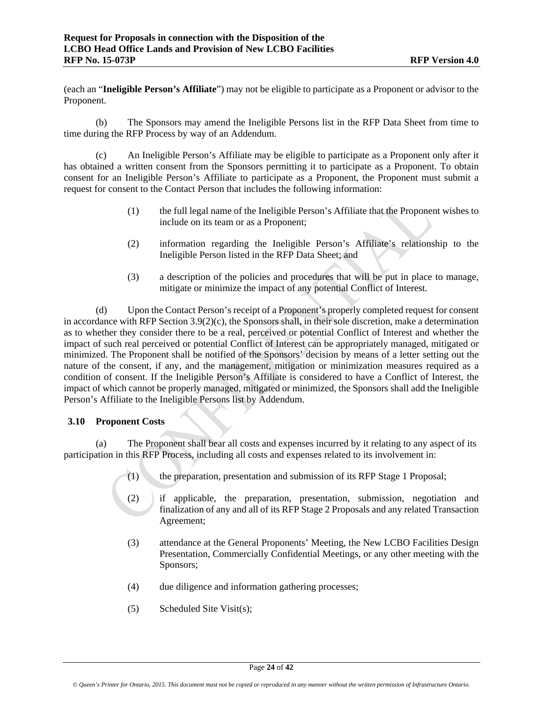(each an "**Ineligible Person's Affiliate**") may not be eligible to participate as a Proponent or advisor to the Proponent.

(b) The Sponsors may amend the Ineligible Persons list in the RFP Data Sheet from time to time during the RFP Process by way of an Addendum.

(c) An Ineligible Person's Affiliate may be eligible to participate as a Proponent only after it has obtained a written consent from the Sponsors permitting it to participate as a Proponent. To obtain consent for an Ineligible Person's Affiliate to participate as a Proponent, the Proponent must submit a request for consent to the Contact Person that includes the following information:

- (1) the full legal name of the Ineligible Person's Affiliate that the Proponent wishes to include on its team or as a Proponent;
- (2) information regarding the Ineligible Person's Affiliate's relationship to the Ineligible Person listed in the RFP Data Sheet; and
- (3) a description of the policies and procedures that will be put in place to manage, mitigate or minimize the impact of any potential Conflict of Interest.

(d) Upon the Contact Person's receipt of a Proponent's properly completed request for consent in accordance with RFP Section 3.9(2)(c), the Sponsors shall, in their sole discretion, make a determination as to whether they consider there to be a real, perceived or potential Conflict of Interest and whether the impact of such real perceived or potential Conflict of Interest can be appropriately managed, mitigated or minimized. The Proponent shall be notified of the Sponsors' decision by means of a letter setting out the nature of the consent, if any, and the management, mitigation or minimization measures required as a condition of consent. If the Ineligible Person's Affiliate is considered to have a Conflict of Interest, the impact of which cannot be properly managed, mitigated or minimized, the Sponsors shall add the Ineligible Person's Affiliate to the Ineligible Persons list by Addendum.

# **3.10 Proponent Costs**

(a) The Proponent shall bear all costs and expenses incurred by it relating to any aspect of its participation in this RFP Process, including all costs and expenses related to its involvement in:

- (1) the preparation, presentation and submission of its RFP Stage 1 Proposal;
- (2) if applicable, the preparation, presentation, submission, negotiation and finalization of any and all of its RFP Stage 2 Proposals and any related Transaction Agreement;
- (3) attendance at the General Proponents' Meeting, the New LCBO Facilities Design Presentation, Commercially Confidential Meetings, or any other meeting with the Sponsors;
- (4) due diligence and information gathering processes;
- (5) Scheduled Site Visit(s);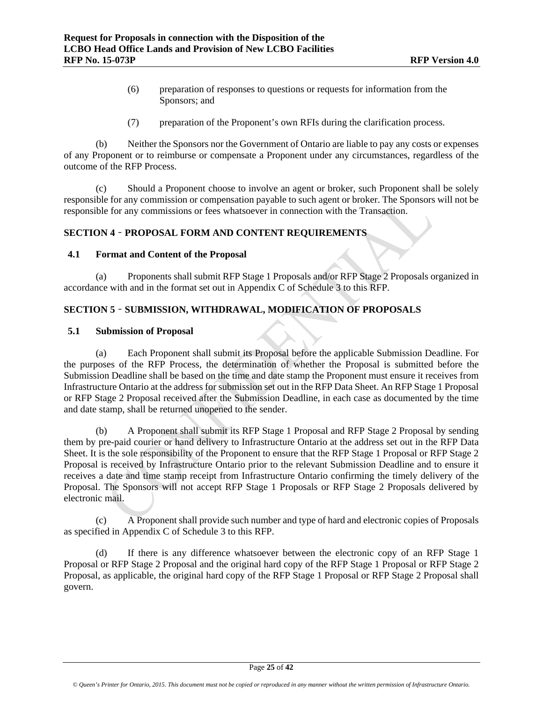- (6) preparation of responses to questions or requests for information from the Sponsors; and
- (7) preparation of the Proponent's own RFIs during the clarification process.

(b) Neither the Sponsors nor the Government of Ontario are liable to pay any costs or expenses of any Proponent or to reimburse or compensate a Proponent under any circumstances, regardless of the outcome of the RFP Process.

(c) Should a Proponent choose to involve an agent or broker, such Proponent shall be solely responsible for any commission or compensation payable to such agent or broker. The Sponsors will not be responsible for any commissions or fees whatsoever in connection with the Transaction.

### **SECTION 4** – **PROPOSAL FORM AND CONTENT REQUIREMENTS**

#### **4.1 Format and Content of the Proposal**

(a) Proponents shall submit RFP Stage 1 Proposals and/or RFP Stage 2 Proposals organized in accordance with and in the format set out in Appendix C of Schedule 3 to this RFP.

# **SECTION 5** – **SUBMISSION, WITHDRAWAL, MODIFICATION OF PROPOSALS**

#### **5.1 Submission of Proposal**

(a) Each Proponent shall submit its Proposal before the applicable Submission Deadline. For the purposes of the RFP Process, the determination of whether the Proposal is submitted before the Submission Deadline shall be based on the time and date stamp the Proponent must ensure it receives from Infrastructure Ontario at the address for submission set out in the RFP Data Sheet. An RFP Stage 1 Proposal or RFP Stage 2 Proposal received after the Submission Deadline, in each case as documented by the time and date stamp, shall be returned unopened to the sender.

(b) A Proponent shall submit its RFP Stage 1 Proposal and RFP Stage 2 Proposal by sending them by pre-paid courier or hand delivery to Infrastructure Ontario at the address set out in the RFP Data Sheet. It is the sole responsibility of the Proponent to ensure that the RFP Stage 1 Proposal or RFP Stage 2 Proposal is received by Infrastructure Ontario prior to the relevant Submission Deadline and to ensure it receives a date and time stamp receipt from Infrastructure Ontario confirming the timely delivery of the Proposal. The Sponsors will not accept RFP Stage 1 Proposals or RFP Stage 2 Proposals delivered by electronic mail.

(c) A Proponent shall provide such number and type of hard and electronic copies of Proposals as specified in Appendix C of Schedule 3 to this RFP.

(d) If there is any difference whatsoever between the electronic copy of an RFP Stage 1 Proposal or RFP Stage 2 Proposal and the original hard copy of the RFP Stage 1 Proposal or RFP Stage 2 Proposal, as applicable, the original hard copy of the RFP Stage 1 Proposal or RFP Stage 2 Proposal shall govern.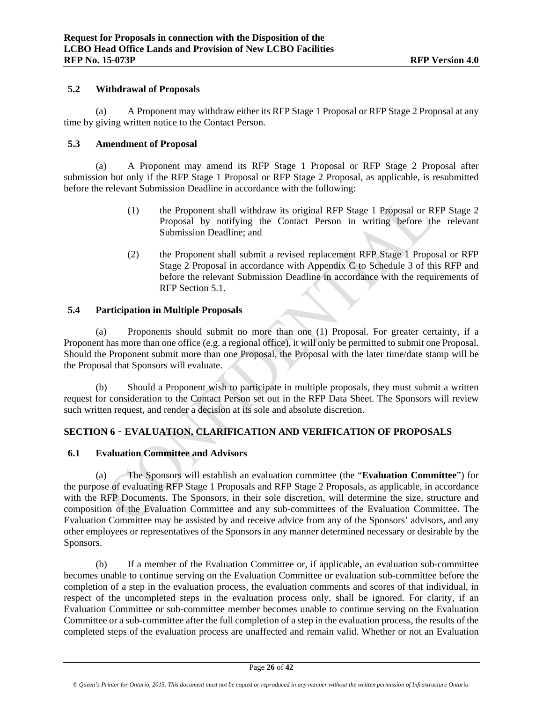#### **5.2 Withdrawal of Proposals**

(a) A Proponent may withdraw either its RFP Stage 1 Proposal or RFP Stage 2 Proposal at any time by giving written notice to the Contact Person.

#### **5.3 Amendment of Proposal**

(a) A Proponent may amend its RFP Stage 1 Proposal or RFP Stage 2 Proposal after submission but only if the RFP Stage 1 Proposal or RFP Stage 2 Proposal, as applicable, is resubmitted before the relevant Submission Deadline in accordance with the following:

- (1) the Proponent shall withdraw its original RFP Stage 1 Proposal or RFP Stage 2 Proposal by notifying the Contact Person in writing before the relevant Submission Deadline; and
- (2) the Proponent shall submit a revised replacement RFP Stage 1 Proposal or RFP Stage 2 Proposal in accordance with Appendix C to Schedule 3 of this RFP and before the relevant Submission Deadline in accordance with the requirements of RFP Section 5.1.

# **5.4 Participation in Multiple Proposals**

(a) Proponents should submit no more than one (1) Proposal. For greater certainty, if a Proponent has more than one office (e.g. a regional office), it will only be permitted to submit one Proposal. Should the Proponent submit more than one Proposal, the Proposal with the later time/date stamp will be the Proposal that Sponsors will evaluate.

(b) Should a Proponent wish to participate in multiple proposals, they must submit a written request for consideration to the Contact Person set out in the RFP Data Sheet. The Sponsors will review such written request, and render a decision at its sole and absolute discretion.

# **SECTION 6** – **EVALUATION, CLARIFICATION AND VERIFICATION OF PROPOSALS**

# **6.1 Evaluation Committee and Advisors**

(a) The Sponsors will establish an evaluation committee (the "**Evaluation Committee**") for the purpose of evaluating RFP Stage 1 Proposals and RFP Stage 2 Proposals, as applicable, in accordance with the RFP Documents. The Sponsors, in their sole discretion, will determine the size, structure and composition of the Evaluation Committee and any sub-committees of the Evaluation Committee. The Evaluation Committee may be assisted by and receive advice from any of the Sponsors' advisors, and any other employees or representatives of the Sponsors in any manner determined necessary or desirable by the Sponsors.

(b) If a member of the Evaluation Committee or, if applicable, an evaluation sub-committee becomes unable to continue serving on the Evaluation Committee or evaluation sub-committee before the completion of a step in the evaluation process, the evaluation comments and scores of that individual, in respect of the uncompleted steps in the evaluation process only, shall be ignored. For clarity, if an Evaluation Committee or sub-committee member becomes unable to continue serving on the Evaluation Committee or a sub-committee after the full completion of a step in the evaluation process, the results of the completed steps of the evaluation process are unaffected and remain valid. Whether or not an Evaluation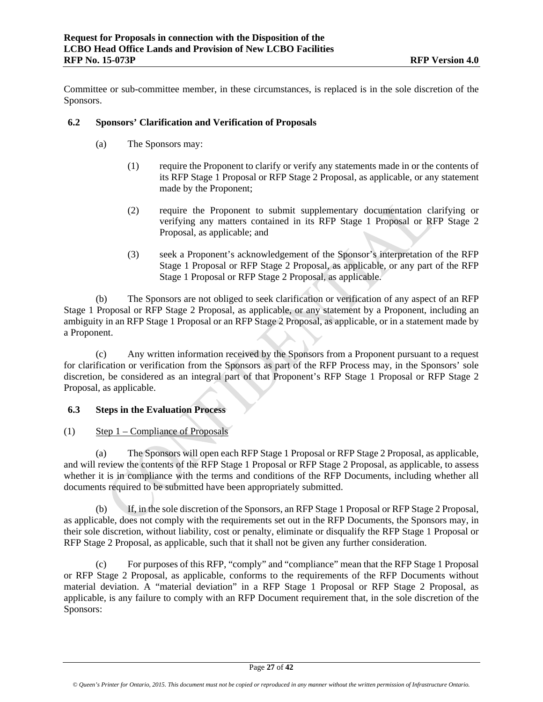Committee or sub-committee member, in these circumstances, is replaced is in the sole discretion of the Sponsors.

## **6.2 Sponsors' Clarification and Verification of Proposals**

- (a) The Sponsors may:
	- (1) require the Proponent to clarify or verify any statements made in or the contents of its RFP Stage 1 Proposal or RFP Stage 2 Proposal, as applicable, or any statement made by the Proponent;
	- (2) require the Proponent to submit supplementary documentation clarifying or verifying any matters contained in its RFP Stage 1 Proposal or RFP Stage 2 Proposal, as applicable; and
	- (3) seek a Proponent's acknowledgement of the Sponsor's interpretation of the RFP Stage 1 Proposal or RFP Stage 2 Proposal, as applicable, or any part of the RFP Stage 1 Proposal or RFP Stage 2 Proposal, as applicable.

(b) The Sponsors are not obliged to seek clarification or verification of any aspect of an RFP Stage 1 Proposal or RFP Stage 2 Proposal, as applicable, or any statement by a Proponent, including an ambiguity in an RFP Stage 1 Proposal or an RFP Stage 2 Proposal, as applicable, or in a statement made by a Proponent.

(c) Any written information received by the Sponsors from a Proponent pursuant to a request for clarification or verification from the Sponsors as part of the RFP Process may, in the Sponsors' sole discretion, be considered as an integral part of that Proponent's RFP Stage 1 Proposal or RFP Stage 2 Proposal, as applicable.

# **6.3 Steps in the Evaluation Process**

(1) Step  $1$  – Compliance of Proposals

(a) The Sponsors will open each RFP Stage 1 Proposal or RFP Stage 2 Proposal, as applicable, and will review the contents of the RFP Stage 1 Proposal or RFP Stage 2 Proposal, as applicable, to assess whether it is in compliance with the terms and conditions of the RFP Documents, including whether all documents required to be submitted have been appropriately submitted.

(b) If, in the sole discretion of the Sponsors, an RFP Stage 1 Proposal or RFP Stage 2 Proposal, as applicable, does not comply with the requirements set out in the RFP Documents, the Sponsors may, in their sole discretion, without liability, cost or penalty, eliminate or disqualify the RFP Stage 1 Proposal or RFP Stage 2 Proposal, as applicable, such that it shall not be given any further consideration.

(c) For purposes of this RFP, "comply" and "compliance" mean that the RFP Stage 1 Proposal or RFP Stage 2 Proposal, as applicable, conforms to the requirements of the RFP Documents without material deviation. A "material deviation" in a RFP Stage 1 Proposal or RFP Stage 2 Proposal, as applicable, is any failure to comply with an RFP Document requirement that, in the sole discretion of the Sponsors: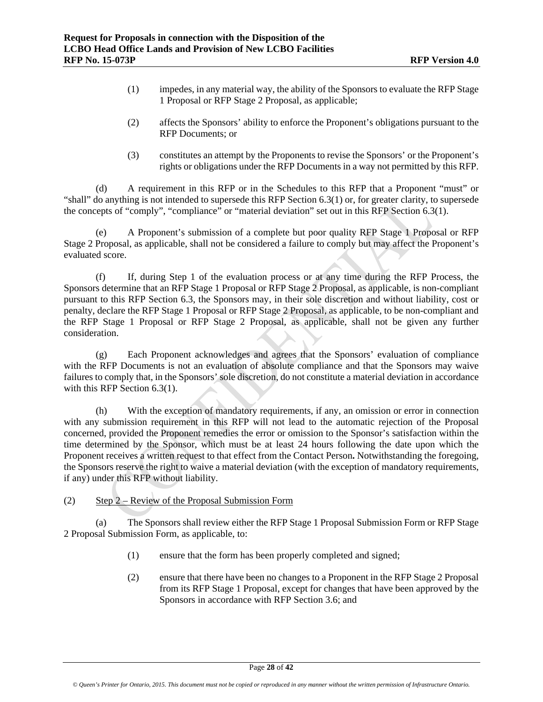- (1) impedes, in any material way, the ability of the Sponsors to evaluate the RFP Stage 1 Proposal or RFP Stage 2 Proposal, as applicable;
- (2) affects the Sponsors' ability to enforce the Proponent's obligations pursuant to the RFP Documents; or
- (3) constitutes an attempt by the Proponents to revise the Sponsors' or the Proponent's rights or obligations under the RFP Documents in a way not permitted by this RFP.

(d) A requirement in this RFP or in the Schedules to this RFP that a Proponent "must" or "shall" do anything is not intended to supersede this RFP Section 6.3(1) or, for greater clarity, to supersede the concepts of "comply", "compliance" or "material deviation" set out in this RFP Section 6.3(1).

(e) A Proponent's submission of a complete but poor quality RFP Stage 1 Proposal or RFP Stage 2 Proposal, as applicable, shall not be considered a failure to comply but may affect the Proponent's evaluated score.

(f) If, during Step 1 of the evaluation process or at any time during the RFP Process, the Sponsors determine that an RFP Stage 1 Proposal or RFP Stage 2 Proposal, as applicable, is non-compliant pursuant to this RFP Section 6.3, the Sponsors may, in their sole discretion and without liability, cost or penalty, declare the RFP Stage 1 Proposal or RFP Stage 2 Proposal, as applicable, to be non-compliant and the RFP Stage 1 Proposal or RFP Stage 2 Proposal, as applicable, shall not be given any further consideration.

(g) Each Proponent acknowledges and agrees that the Sponsors' evaluation of compliance with the RFP Documents is not an evaluation of absolute compliance and that the Sponsors may waive failures to comply that, in the Sponsors' sole discretion, do not constitute a material deviation in accordance with this RFP Section 6.3(1).

(h) With the exception of mandatory requirements, if any, an omission or error in connection with any submission requirement in this RFP will not lead to the automatic rejection of the Proposal concerned, provided the Proponent remedies the error or omission to the Sponsor's satisfaction within the time determined by the Sponsor, which must be at least 24 hours following the date upon which the Proponent receives a written request to that effect from the Contact Person**.** Notwithstanding the foregoing, the Sponsors reserve the right to waive a material deviation (with the exception of mandatory requirements, if any) under this RFP without liability.

(2) Step 2 – Review of the Proposal Submission Form

(a) The Sponsors shall review either the RFP Stage 1 Proposal Submission Form or RFP Stage 2 Proposal Submission Form, as applicable, to:

- (1) ensure that the form has been properly completed and signed;
- (2) ensure that there have been no changes to a Proponent in the RFP Stage 2 Proposal from its RFP Stage 1 Proposal, except for changes that have been approved by the Sponsors in accordance with RFP Section 3.6; and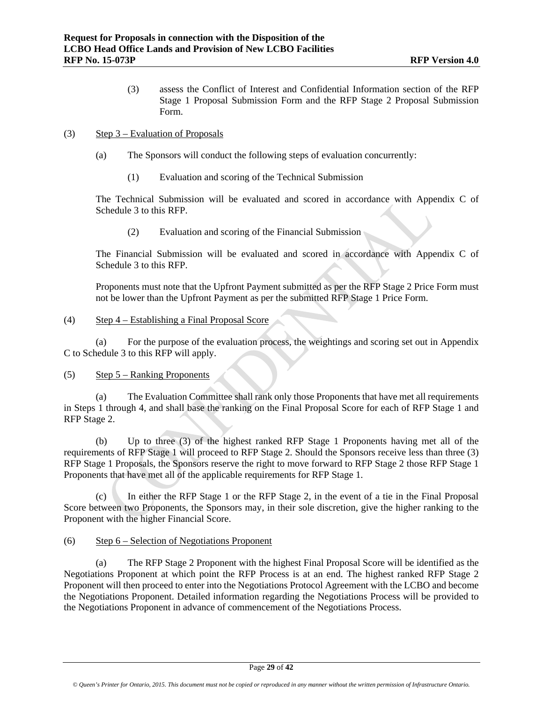(3) assess the Conflict of Interest and Confidential Information section of the RFP Stage 1 Proposal Submission Form and the RFP Stage 2 Proposal Submission Form.

## (3) Step 3 – Evaluation of Proposals

- (a) The Sponsors will conduct the following steps of evaluation concurrently:
	- (1) Evaluation and scoring of the Technical Submission

The Technical Submission will be evaluated and scored in accordance with Appendix C of Schedule 3 to this RFP.

(2) Evaluation and scoring of the Financial Submission

The Financial Submission will be evaluated and scored in accordance with Appendix C of Schedule 3 to this RFP.

Proponents must note that the Upfront Payment submitted as per the RFP Stage 2 Price Form must not be lower than the Upfront Payment as per the submitted RFP Stage 1 Price Form.

## (4) Step 4 – Establishing a Final Proposal Score

(a) For the purpose of the evaluation process, the weightings and scoring set out in Appendix C to Schedule 3 to this RFP will apply.

#### (5) Step 5 – Ranking Proponents

(a) The Evaluation Committee shall rank only those Proponents that have met all requirements in Steps 1 through 4, and shall base the ranking on the Final Proposal Score for each of RFP Stage 1 and RFP Stage 2.

(b) Up to three (3) of the highest ranked RFP Stage 1 Proponents having met all of the requirements of RFP Stage 1 will proceed to RFP Stage 2. Should the Sponsors receive less than three (3) RFP Stage 1 Proposals, the Sponsors reserve the right to move forward to RFP Stage 2 those RFP Stage 1 Proponents that have met all of the applicable requirements for RFP Stage 1.

(c) In either the RFP Stage 1 or the RFP Stage 2, in the event of a tie in the Final Proposal Score between two Proponents, the Sponsors may, in their sole discretion, give the higher ranking to the Proponent with the higher Financial Score.

# (6) Step 6 – Selection of Negotiations Proponent

(a) The RFP Stage 2 Proponent with the highest Final Proposal Score will be identified as the Negotiations Proponent at which point the RFP Process is at an end. The highest ranked RFP Stage 2 Proponent will then proceed to enter into the Negotiations Protocol Agreement with the LCBO and become the Negotiations Proponent. Detailed information regarding the Negotiations Process will be provided to the Negotiations Proponent in advance of commencement of the Negotiations Process.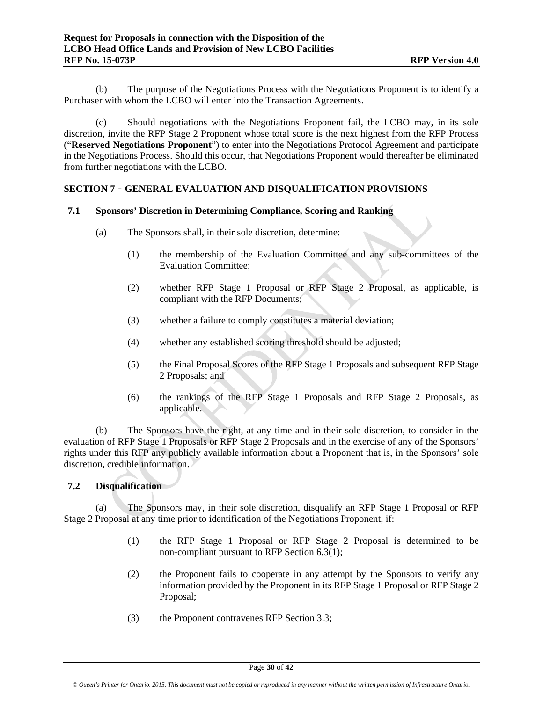(b) The purpose of the Negotiations Process with the Negotiations Proponent is to identify a Purchaser with whom the LCBO will enter into the Transaction Agreements.

(c) Should negotiations with the Negotiations Proponent fail, the LCBO may, in its sole discretion, invite the RFP Stage 2 Proponent whose total score is the next highest from the RFP Process ("**Reserved Negotiations Proponent**") to enter into the Negotiations Protocol Agreement and participate in the Negotiations Process. Should this occur, that Negotiations Proponent would thereafter be eliminated from further negotiations with the LCBO.

# **SECTION 7** – **GENERAL EVALUATION AND DISQUALIFICATION PROVISIONS**

#### **7.1 Sponsors' Discretion in Determining Compliance, Scoring and Ranking**

- (a) The Sponsors shall, in their sole discretion, determine:
	- (1) the membership of the Evaluation Committee and any sub-committees of the Evaluation Committee;
	- (2) whether RFP Stage 1 Proposal or RFP Stage 2 Proposal, as applicable, is compliant with the RFP Documents;
	- (3) whether a failure to comply constitutes a material deviation;
	- (4) whether any established scoring threshold should be adjusted;
	- (5) the Final Proposal Scores of the RFP Stage 1 Proposals and subsequent RFP Stage 2 Proposals; and
	- (6) the rankings of the RFP Stage 1 Proposals and RFP Stage 2 Proposals, as applicable.

(b) The Sponsors have the right, at any time and in their sole discretion, to consider in the evaluation of RFP Stage 1 Proposals or RFP Stage 2 Proposals and in the exercise of any of the Sponsors' rights under this RFP any publicly available information about a Proponent that is, in the Sponsors' sole discretion, credible information.

# **7.2 Disqualification**

(a) The Sponsors may, in their sole discretion, disqualify an RFP Stage 1 Proposal or RFP Stage 2 Proposal at any time prior to identification of the Negotiations Proponent, if:

- (1) the RFP Stage 1 Proposal or RFP Stage 2 Proposal is determined to be non-compliant pursuant to RFP Section 6.3(1);
- (2) the Proponent fails to cooperate in any attempt by the Sponsors to verify any information provided by the Proponent in its RFP Stage 1 Proposal or RFP Stage 2 Proposal;
- (3) the Proponent contravenes RFP Section 3.3;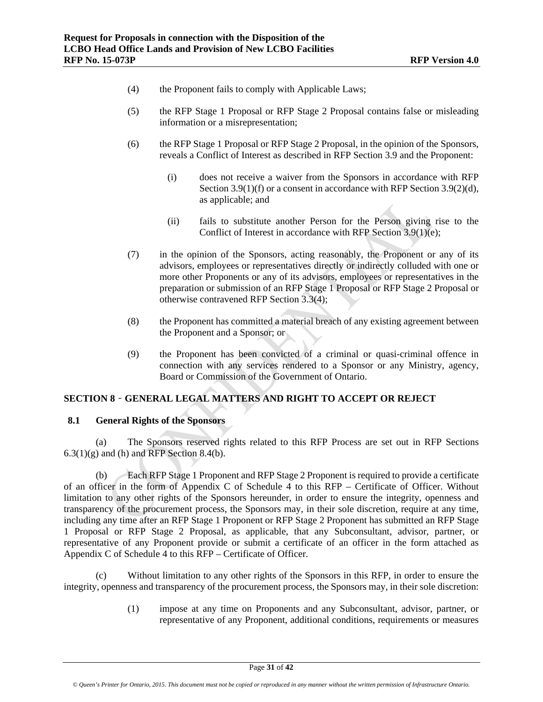- (4) the Proponent fails to comply with Applicable Laws;
- (5) the RFP Stage 1 Proposal or RFP Stage 2 Proposal contains false or misleading information or a misrepresentation;
- (6) the RFP Stage 1 Proposal or RFP Stage 2 Proposal, in the opinion of the Sponsors, reveals a Conflict of Interest as described in RFP Section 3.9 and the Proponent:
	- (i) does not receive a waiver from the Sponsors in accordance with RFP Section 3.9(1)(f) or a consent in accordance with RFP Section 3.9(2)(d), as applicable; and
	- (ii) fails to substitute another Person for the Person giving rise to the Conflict of Interest in accordance with RFP Section 3.9(1)(e);
- (7) in the opinion of the Sponsors, acting reasonably, the Proponent or any of its advisors, employees or representatives directly or indirectly colluded with one or more other Proponents or any of its advisors, employees or representatives in the preparation or submission of an RFP Stage 1 Proposal or RFP Stage 2 Proposal or otherwise contravened RFP Section 3.3(4);
- (8) the Proponent has committed a material breach of any existing agreement between the Proponent and a Sponsor; or
- (9) the Proponent has been convicted of a criminal or quasi-criminal offence in connection with any services rendered to a Sponsor or any Ministry, agency, Board or Commission of the Government of Ontario.

#### **SECTION 8** – **GENERAL LEGAL MATTERS AND RIGHT TO ACCEPT OR REJECT**

# **8.1 General Rights of the Sponsors**

(a) The Sponsors reserved rights related to this RFP Process are set out in RFP Sections  $6.3(1)(g)$  and (h) and RFP Section 8.4(b).

(b) Each RFP Stage 1 Proponent and RFP Stage 2 Proponent is required to provide a certificate of an officer in the form of Appendix C of Schedule 4 to this RFP – Certificate of Officer. Without limitation to any other rights of the Sponsors hereunder, in order to ensure the integrity, openness and transparency of the procurement process, the Sponsors may, in their sole discretion, require at any time, including any time after an RFP Stage 1 Proponent or RFP Stage 2 Proponent has submitted an RFP Stage 1 Proposal or RFP Stage 2 Proposal, as applicable, that any Subconsultant, advisor, partner, or representative of any Proponent provide or submit a certificate of an officer in the form attached as Appendix C of Schedule 4 to this RFP – Certificate of Officer.

(c) Without limitation to any other rights of the Sponsors in this RFP, in order to ensure the integrity, openness and transparency of the procurement process, the Sponsors may, in their sole discretion:

> (1) impose at any time on Proponents and any Subconsultant, advisor, partner, or representative of any Proponent, additional conditions, requirements or measures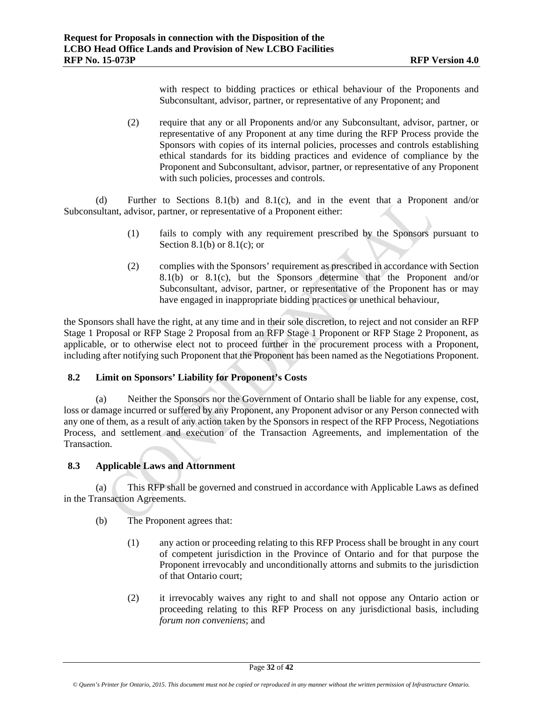with respect to bidding practices or ethical behaviour of the Proponents and Subconsultant, advisor, partner, or representative of any Proponent; and

(2) require that any or all Proponents and/or any Subconsultant, advisor, partner, or representative of any Proponent at any time during the RFP Process provide the Sponsors with copies of its internal policies, processes and controls establishing ethical standards for its bidding practices and evidence of compliance by the Proponent and Subconsultant, advisor, partner, or representative of any Proponent with such policies, processes and controls.

(d) Further to Sections 8.1(b) and 8.1(c), and in the event that a Proponent and/or Subconsultant, advisor, partner, or representative of a Proponent either:

- (1) fails to comply with any requirement prescribed by the Sponsors pursuant to Section 8.1(b) or  $8.1(c)$ ; or
- (2) complies with the Sponsors' requirement as prescribed in accordance with Section 8.1(b) or 8.1(c), but the Sponsors determine that the Proponent and/or Subconsultant, advisor, partner, or representative of the Proponent has or may have engaged in inappropriate bidding practices or unethical behaviour,

the Sponsors shall have the right, at any time and in their sole discretion, to reject and not consider an RFP Stage 1 Proposal or RFP Stage 2 Proposal from an RFP Stage 1 Proponent or RFP Stage 2 Proponent, as applicable, or to otherwise elect not to proceed further in the procurement process with a Proponent, including after notifying such Proponent that the Proponent has been named as the Negotiations Proponent.

# **8.2 Limit on Sponsors' Liability for Proponent's Costs**

(a) Neither the Sponsors nor the Government of Ontario shall be liable for any expense, cost, loss or damage incurred or suffered by any Proponent, any Proponent advisor or any Person connected with any one of them, as a result of any action taken by the Sponsors in respect of the RFP Process, Negotiations Process, and settlement and execution of the Transaction Agreements, and implementation of the Transaction.

# **8.3 Applicable Laws and Attornment**

(a) This RFP shall be governed and construed in accordance with Applicable Laws as defined in the Transaction Agreements.

- (b) The Proponent agrees that:
	- (1) any action or proceeding relating to this RFP Process shall be brought in any court of competent jurisdiction in the Province of Ontario and for that purpose the Proponent irrevocably and unconditionally attorns and submits to the jurisdiction of that Ontario court;
	- (2) it irrevocably waives any right to and shall not oppose any Ontario action or proceeding relating to this RFP Process on any jurisdictional basis, including *forum non conveniens*; and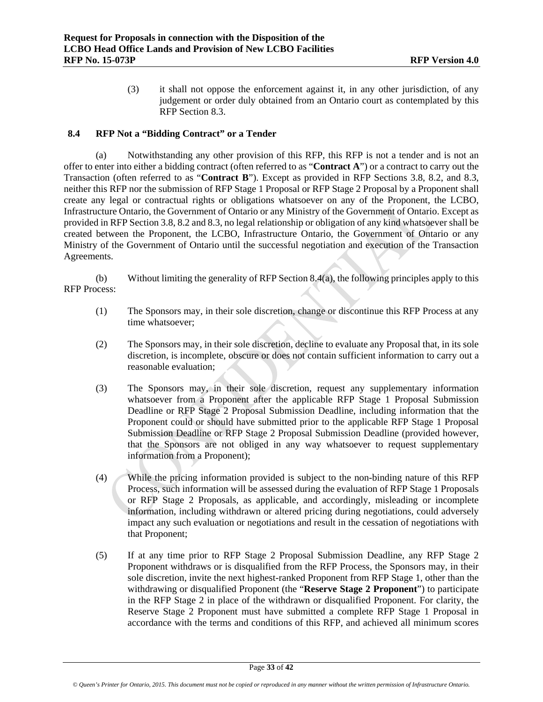(3) it shall not oppose the enforcement against it, in any other jurisdiction, of any judgement or order duly obtained from an Ontario court as contemplated by this RFP Section 8.3.

## **8.4 RFP Not a "Bidding Contract" or a Tender**

(a) Notwithstanding any other provision of this RFP, this RFP is not a tender and is not an offer to enter into either a bidding contract (often referred to as "**Contract A**") or a contract to carry out the Transaction (often referred to as "**Contract B**"). Except as provided in RFP Sections 3.8, 8.2, and 8.3, neither this RFP nor the submission of RFP Stage 1 Proposal or RFP Stage 2 Proposal by a Proponent shall create any legal or contractual rights or obligations whatsoever on any of the Proponent, the LCBO, Infrastructure Ontario, the Government of Ontario or any Ministry of the Government of Ontario. Except as provided in RFP Section 3.8, 8.2 and 8.3, no legal relationship or obligation of any kind whatsoever shall be created between the Proponent, the LCBO, Infrastructure Ontario, the Government of Ontario or any Ministry of the Government of Ontario until the successful negotiation and execution of the Transaction Agreements.

(b) Without limiting the generality of RFP Section 8.4(a), the following principles apply to this RFP Process:

- (1) The Sponsors may, in their sole discretion, change or discontinue this RFP Process at any time whatsoever;
- (2) The Sponsors may, in their sole discretion, decline to evaluate any Proposal that, in its sole discretion, is incomplete, obscure or does not contain sufficient information to carry out a reasonable evaluation;
- (3) The Sponsors may, in their sole discretion, request any supplementary information whatsoever from a Proponent after the applicable RFP Stage 1 Proposal Submission Deadline or RFP Stage 2 Proposal Submission Deadline, including information that the Proponent could or should have submitted prior to the applicable RFP Stage 1 Proposal Submission Deadline or RFP Stage 2 Proposal Submission Deadline (provided however, that the Sponsors are not obliged in any way whatsoever to request supplementary information from a Proponent);
- (4) While the pricing information provided is subject to the non-binding nature of this RFP Process, such information will be assessed during the evaluation of RFP Stage 1 Proposals or RFP Stage 2 Proposals, as applicable, and accordingly, misleading or incomplete information, including withdrawn or altered pricing during negotiations, could adversely impact any such evaluation or negotiations and result in the cessation of negotiations with that Proponent;
- (5) If at any time prior to RFP Stage 2 Proposal Submission Deadline, any RFP Stage 2 Proponent withdraws or is disqualified from the RFP Process, the Sponsors may, in their sole discretion, invite the next highest-ranked Proponent from RFP Stage 1, other than the withdrawing or disqualified Proponent (the "**Reserve Stage 2 Proponent**") to participate in the RFP Stage 2 in place of the withdrawn or disqualified Proponent. For clarity, the Reserve Stage 2 Proponent must have submitted a complete RFP Stage 1 Proposal in accordance with the terms and conditions of this RFP, and achieved all minimum scores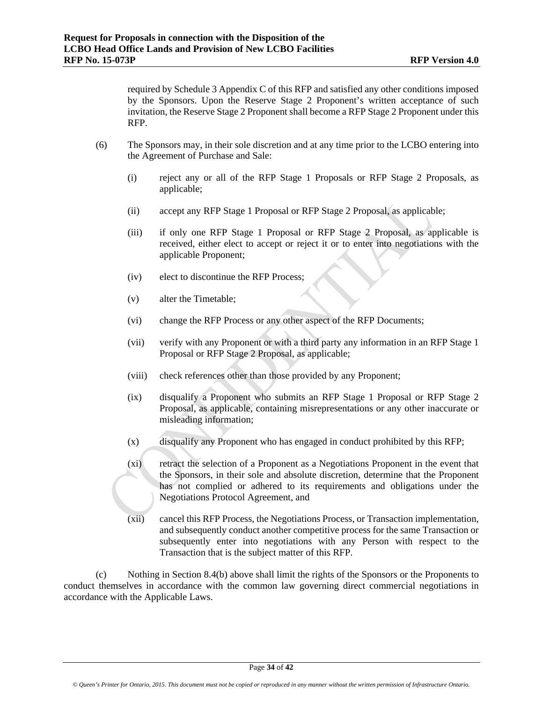required by Schedule 3 Appendix C of this RFP and satisfied any other conditions imposed by the Sponsors. Upon the Reserve Stage 2 Proponent's written acceptance of such invitation, the Reserve Stage 2 Proponent shall become a RFP Stage 2 Proponent under this RFP.

- (6) The Sponsors may, in their sole discretion and at any time prior to the LCBO entering into the Agreement of Purchase and Sale:
	- (i) reject any or all of the RFP Stage 1 Proposals or RFP Stage 2 Proposals, as applicable;
	- (ii) accept any RFP Stage 1 Proposal or RFP Stage 2 Proposal, as applicable;
	- (iii) if only one RFP Stage 1 Proposal or RFP Stage 2 Proposal, as applicable is received, either elect to accept or reject it or to enter into negotiations with the applicable Proponent;
	- (iv) elect to discontinue the RFP Process;
	- (v) alter the Timetable;
	- (vi) change the RFP Process or any other aspect of the RFP Documents;
	- (vii) verify with any Proponent or with a third party any information in an RFP Stage 1 Proposal or RFP Stage 2 Proposal, as applicable;
	- (viii) check references other than those provided by any Proponent;
	- (ix) disqualify a Proponent who submits an RFP Stage 1 Proposal or RFP Stage 2 Proposal, as applicable, containing misrepresentations or any other inaccurate or misleading information;
	- (x) disqualify any Proponent who has engaged in conduct prohibited by this RFP;
	- (xi) retract the selection of a Proponent as a Negotiations Proponent in the event that the Sponsors, in their sole and absolute discretion, determine that the Proponent has not complied or adhered to its requirements and obligations under the Negotiations Protocol Agreement, and
	- (xii) cancel this RFP Process, the Negotiations Process, or Transaction implementation, and subsequently conduct another competitive process for the same Transaction or subsequently enter into negotiations with any Person with respect to the Transaction that is the subject matter of this RFP.

(c) Nothing in Section 8.4(b) above shall limit the rights of the Sponsors or the Proponents to conduct themselves in accordance with the common law governing direct commercial negotiations in accordance with the Applicable Laws.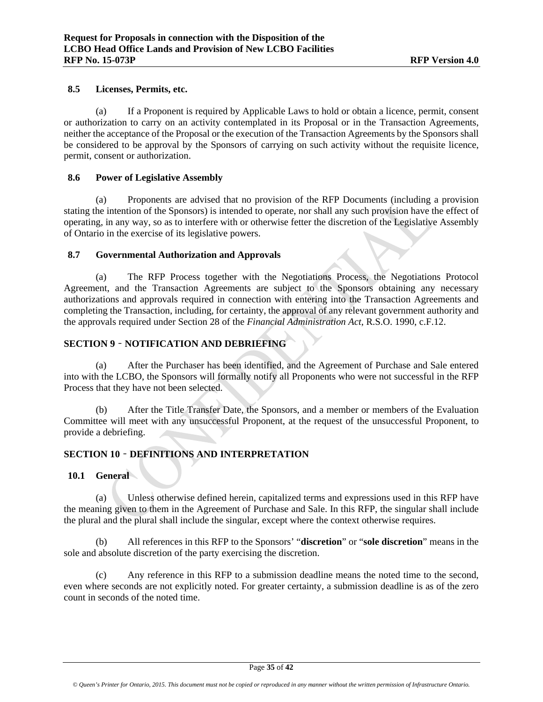#### **8.5 Licenses, Permits, etc.**

(a) If a Proponent is required by Applicable Laws to hold or obtain a licence, permit, consent or authorization to carry on an activity contemplated in its Proposal or in the Transaction Agreements, neither the acceptance of the Proposal or the execution of the Transaction Agreements by the Sponsors shall be considered to be approval by the Sponsors of carrying on such activity without the requisite licence, permit, consent or authorization.

#### **8.6 Power of Legislative Assembly**

(a) Proponents are advised that no provision of the RFP Documents (including a provision stating the intention of the Sponsors) is intended to operate, nor shall any such provision have the effect of operating, in any way, so as to interfere with or otherwise fetter the discretion of the Legislative Assembly of Ontario in the exercise of its legislative powers.

# **8.7 Governmental Authorization and Approvals**

(a) The RFP Process together with the Negotiations Process, the Negotiations Protocol Agreement, and the Transaction Agreements are subject to the Sponsors obtaining any necessary authorizations and approvals required in connection with entering into the Transaction Agreements and completing the Transaction, including, for certainty, the approval of any relevant government authority and the approvals required under Section 28 of the *Financial Administration Act*, R.S.O. 1990, c.F.12.

# **SECTION 9** – **NOTIFICATION AND DEBRIEFING**

(a) After the Purchaser has been identified, and the Agreement of Purchase and Sale entered into with the LCBO, the Sponsors will formally notify all Proponents who were not successful in the RFP Process that they have not been selected.

(b) After the Title Transfer Date, the Sponsors, and a member or members of the Evaluation Committee will meet with any unsuccessful Proponent, at the request of the unsuccessful Proponent, to provide a debriefing.

# **SECTION 10** – **DEFINITIONS AND INTERPRETATION**

# **10.1 General**

(a) Unless otherwise defined herein, capitalized terms and expressions used in this RFP have the meaning given to them in the Agreement of Purchase and Sale. In this RFP, the singular shall include the plural and the plural shall include the singular, except where the context otherwise requires.

(b) All references in this RFP to the Sponsors' "**discretion**" or "**sole discretion**" means in the sole and absolute discretion of the party exercising the discretion.

(c) Any reference in this RFP to a submission deadline means the noted time to the second, even where seconds are not explicitly noted. For greater certainty, a submission deadline is as of the zero count in seconds of the noted time.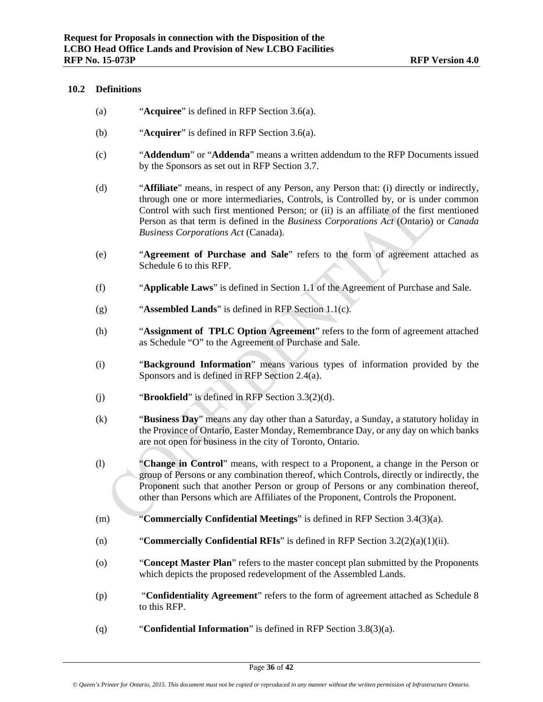#### **10.2 Definitions**

- (a) "**Acquiree**" is defined in RFP Section 3.6(a).
- (b) "**Acquirer**" is defined in RFP Section 3.6(a).
- (c) "**Addendum**" or "**Addenda**" means a written addendum to the RFP Documents issued by the Sponsors as set out in RFP Section 3.7.
- (d) "**Affiliate**" means, in respect of any Person, any Person that: (i) directly or indirectly, through one or more intermediaries, Controls, is Controlled by, or is under common Control with such first mentioned Person; or (ii) is an affiliate of the first mentioned Person as that term is defined in the *Business Corporations Act* (Ontario) or *Canada Business Corporations Act* (Canada).
- (e) "**Agreement of Purchase and Sale**" refers to the form of agreement attached as Schedule 6 to this RFP.
- (f) "**Applicable Laws**" is defined in Section 1.1 of the Agreement of Purchase and Sale.
- (g) "**Assembled Lands**" is defined in RFP Section 1.1(c).
- (h) "**Assignment of TPLC Option Agreement**" refers to the form of agreement attached as Schedule "O" to the Agreement of Purchase and Sale.
- (i) "**Background Information**" means various types of information provided by the Sponsors and is defined in RFP Section 2.4(a).
- (j) "**Brookfield**" is defined in RFP Section 3.3(2)(d).
- (k) "**Business Day**" means any day other than a Saturday, a Sunday, a statutory holiday in the Province of Ontario, Easter Monday, Remembrance Day, or any day on which banks are not open for business in the city of Toronto, Ontario.
- (l) "**Change in Control**" means, with respect to a Proponent, a change in the Person or group of Persons or any combination thereof, which Controls, directly or indirectly, the Proponent such that another Person or group of Persons or any combination thereof, other than Persons which are Affiliates of the Proponent, Controls the Proponent.
- (m) "**Commercially Confidential Meetings**" is defined in RFP Section 3.4(3)(a).
- (n) "**Commercially Confidential RFIs**" is defined in RFP Section 3.2(2)(a)(1)(ii).
- (o) "**Concept Master Plan**" refers to the master concept plan submitted by the Proponents which depicts the proposed redevelopment of the Assembled Lands.
- (p) "**Confidentiality Agreement**" refers to the form of agreement attached as Schedule 8 to this RFP.
- (q) "**Confidential Information**" is defined in RFP Section 3.8(3)(a).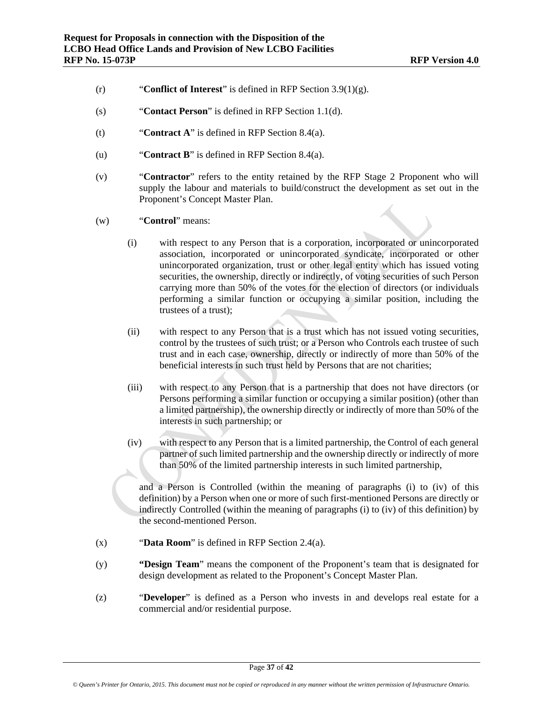- (r) "**Conflict of Interest**" is defined in RFP Section 3.9(1)(g).
- (s) "**Contact Person**" is defined in RFP Section 1.1(d).
- (t) "**Contract A**" is defined in RFP Section 8.4(a).
- (u) "**Contract B**" is defined in RFP Section 8.4(a).
- (v) "**Contractor**" refers to the entity retained by the RFP Stage 2 Proponent who will supply the labour and materials to build/construct the development as set out in the Proponent's Concept Master Plan.
- (w) "**Control**" means:
	- (i) with respect to any Person that is a corporation, incorporated or unincorporated association, incorporated or unincorporated syndicate, incorporated or other unincorporated organization, trust or other legal entity which has issued voting securities, the ownership, directly or indirectly, of voting securities of such Person carrying more than 50% of the votes for the election of directors (or individuals performing a similar function or occupying a similar position, including the trustees of a trust);
	- (ii) with respect to any Person that is a trust which has not issued voting securities, control by the trustees of such trust; or a Person who Controls each trustee of such trust and in each case, ownership, directly or indirectly of more than 50% of the beneficial interests in such trust held by Persons that are not charities;
	- (iii) with respect to any Person that is a partnership that does not have directors (or Persons performing a similar function or occupying a similar position) (other than a limited partnership), the ownership directly or indirectly of more than 50% of the interests in such partnership; or
	- (iv) with respect to any Person that is a limited partnership, the Control of each general partner of such limited partnership and the ownership directly or indirectly of more than 50% of the limited partnership interests in such limited partnership,

and a Person is Controlled (within the meaning of paragraphs (i) to (iv) of this definition) by a Person when one or more of such first-mentioned Persons are directly or indirectly Controlled (within the meaning of paragraphs (i) to (iv) of this definition) by the second-mentioned Person.

- (x) "**Data Room**" is defined in RFP Section 2.4(a).
- (y) **"Design Team**" means the component of the Proponent's team that is designated for design development as related to the Proponent's Concept Master Plan.
- (z) "**Developer**" is defined as a Person who invests in and develops real estate for a commercial and/or residential purpose.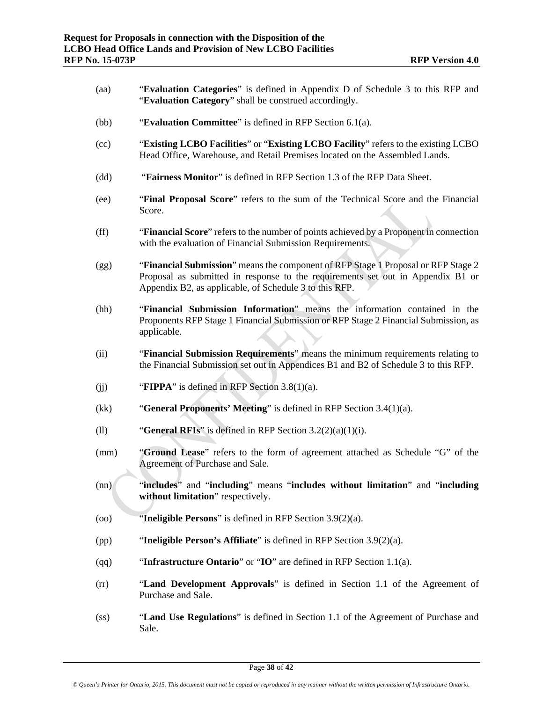- (aa) "**Evaluation Categories**" is defined in Appendix D of Schedule 3 to this RFP and "**Evaluation Category**" shall be construed accordingly.
- (bb) "**Evaluation Committee**" is defined in RFP Section 6.1(a).
- (cc) "**Existing LCBO Facilities**" or "**Existing LCBO Facility**" refers to the existing LCBO Head Office, Warehouse, and Retail Premises located on the Assembled Lands.
- (dd) "**Fairness Monitor**" is defined in RFP Section 1.3 of the RFP Data Sheet.
- (ee) "**Final Proposal Score**" refers to the sum of the Technical Score and the Financial Score.
- (ff) "**Financial Score**" refers to the number of points achieved by a Proponent in connection with the evaluation of Financial Submission Requirements.
- (gg) "**Financial Submission**" means the component of RFP Stage 1 Proposal or RFP Stage 2 Proposal as submitted in response to the requirements set out in Appendix B1 or Appendix B2, as applicable, of Schedule 3 to this RFP.
- (hh) "**Financial Submission Information**" means the information contained in the Proponents RFP Stage 1 Financial Submission or RFP Stage 2 Financial Submission, as applicable.
- (ii) "**Financial Submission Requirements**" means the minimum requirements relating to the Financial Submission set out in Appendices B1 and B2 of Schedule 3 to this RFP.
- (ij) **FIPPA**" is defined in RFP Section 3.8(1)(a).
- (kk) "**General Proponents' Meeting**" is defined in RFP Section 3.4(1)(a).
- (ll) "**General RFIs**" is defined in RFP Section 3.2(2)(a)(1)(i).
- (mm) "**Ground Lease**" refers to the form of agreement attached as Schedule "G" of the Agreement of Purchase and Sale.
- (nn) "**includes**" and "**including**" means "**includes without limitation**" and "**including without limitation**" respectively.
- (oo) "**Ineligible Persons**" is defined in RFP Section 3.9(2)(a).
- (pp) "**Ineligible Person's Affiliate**" is defined in RFP Section 3.9(2)(a).
- (qq) "**Infrastructure Ontario**" or "**IO**" are defined in RFP Section 1.1(a).
- (rr) "**Land Development Approvals**" is defined in Section 1.1 of the Agreement of Purchase and Sale.
- (ss) "**Land Use Regulations**" is defined in Section 1.1 of the Agreement of Purchase and Sale.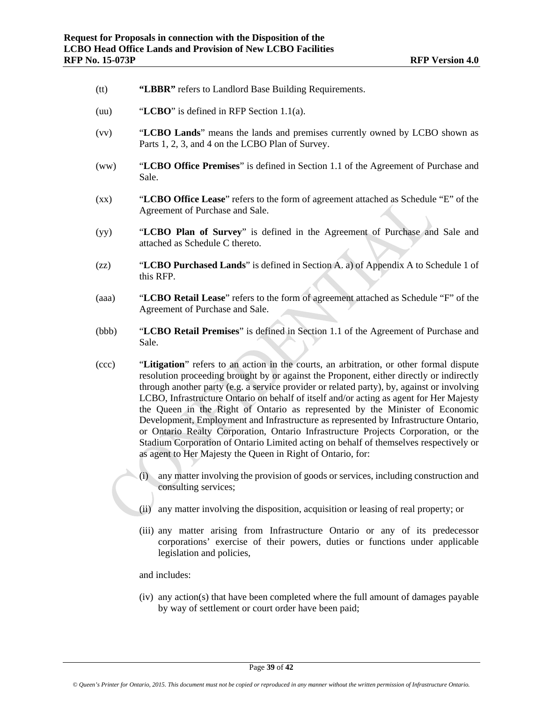- (tt) **"LBBR"** refers to Landlord Base Building Requirements.
- (uu) "**LCBO**" is defined in RFP Section 1.1(a).
- (vv) "**LCBO Lands**" means the lands and premises currently owned by LCBO shown as Parts 1, 2, 3, and 4 on the LCBO Plan of Survey.
- (ww) "**LCBO Office Premises**" is defined in Section 1.1 of the Agreement of Purchase and Sale.
- (xx) "**LCBO Office Lease**" refers to the form of agreement attached as Schedule "E" of the Agreement of Purchase and Sale.
- (yy) "**LCBO Plan of Survey**" is defined in the Agreement of Purchase and Sale and attached as Schedule C thereto.
- (zz) "**LCBO Purchased Lands**" is defined in Section A. a) of Appendix A to Schedule 1 of this RFP.
- (aaa) "**LCBO Retail Lease**" refers to the form of agreement attached as Schedule "F" of the Agreement of Purchase and Sale.
- (bbb) "**LCBO Retail Premises**" is defined in Section 1.1 of the Agreement of Purchase and Sale.
- (ccc) "**Litigation**" refers to an action in the courts, an arbitration, or other formal dispute resolution proceeding brought by or against the Proponent, either directly or indirectly through another party (e.g. a service provider or related party), by, against or involving LCBO, Infrastructure Ontario on behalf of itself and/or acting as agent for Her Majesty the Queen in the Right of Ontario as represented by the Minister of Economic Development, Employment and Infrastructure as represented by Infrastructure Ontario, or Ontario Realty Corporation, Ontario Infrastructure Projects Corporation, or the Stadium Corporation of Ontario Limited acting on behalf of themselves respectively or as agent to Her Majesty the Queen in Right of Ontario, for:
	- (i) any matter involving the provision of goods or services, including construction and consulting services;
	- (ii) any matter involving the disposition, acquisition or leasing of real property; or
	- (iii) any matter arising from Infrastructure Ontario or any of its predecessor corporations' exercise of their powers, duties or functions under applicable legislation and policies,

#### and includes:

(iv) any action(s) that have been completed where the full amount of damages payable by way of settlement or court order have been paid;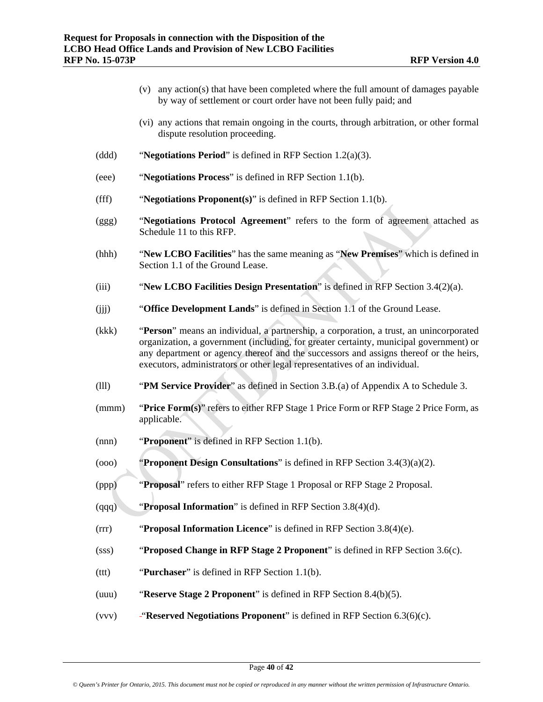- (v) any action(s) that have been completed where the full amount of damages payable by way of settlement or court order have not been fully paid; and
- (vi) any actions that remain ongoing in the courts, through arbitration, or other formal dispute resolution proceeding.
- (ddd) "**Negotiations Period**" is defined in RFP Section 1.2(a)(3).
- (eee) "**Negotiations Process**" is defined in RFP Section 1.1(b).
- (fff) "**Negotiations Proponent(s)**" is defined in RFP Section 1.1(b).
- (ggg) "**Negotiations Protocol Agreement**" refers to the form of agreement attached as Schedule 11 to this RFP.
- (hhh) "**New LCBO Facilities**" has the same meaning as "**New Premises**" which is defined in Section 1.1 of the Ground Lease.
- (iii) "**New LCBO Facilities Design Presentation**" is defined in RFP Section 3.4(2)(a).
- (jjj) "**Office Development Lands**" is defined in Section 1.1 of the Ground Lease.
- (kkk) "**Person**" means an individual, a partnership, a corporation, a trust, an unincorporated organization, a government (including, for greater certainty, municipal government) or any department or agency thereof and the successors and assigns thereof or the heirs, executors, administrators or other legal representatives of an individual.
- (lll) "**PM Service Provider**" as defined in Section 3.B.(a) of Appendix A to Schedule 3.
- (mmm) "**Price Form(s)**" refers to either RFP Stage 1 Price Form or RFP Stage 2 Price Form, as applicable.
- (nnn) "**Proponent**" is defined in RFP Section 1.1(b).
- (ooo) "**Proponent Design Consultations**" is defined in RFP Section 3.4(3)(a)(2).
- (ppp) "**Proposal**" refers to either RFP Stage 1 Proposal or RFP Stage 2 Proposal.
- (qqq) "**Proposal Information**" is defined in RFP Section 3.8(4)(d).
- (rrr) "**Proposal Information Licence**" is defined in RFP Section 3.8(4)(e).
- (sss) "**Proposed Change in RFP Stage 2 Proponent**" is defined in RFP Section 3.6(c).
- (ttt) "**Purchaser**" is defined in RFP Section 1.1(b).
- (uuu) "**Reserve Stage 2 Proponent**" is defined in RFP Section 8.4(b)(5).
- (vvv) "**Reserved Negotiations Proponent**" is defined in RFP Section 6.3(6)(c).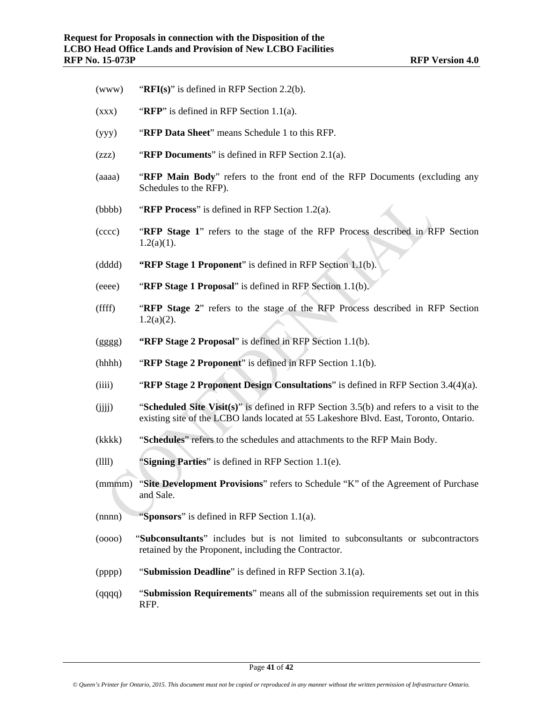- (www) "**RFI(s)**" is defined in RFP Section 2.2(b).
- (xxx) "**RFP**" is defined in RFP Section 1.1(a).
- (yyy) "**RFP Data Sheet**" means Schedule 1 to this RFP.
- (zzz) "**RFP Documents**" is defined in RFP Section 2.1(a).
- (aaaa) "**RFP Main Body**" refers to the front end of the RFP Documents (excluding any Schedules to the RFP).
- (bbbb) "**RFP Process**" is defined in RFP Section 1.2(a).
- (cccc) "**RFP Stage 1**" refers to the stage of the RFP Process described in RFP Section  $1.2(a)(1)$ .
- (dddd) **"RFP Stage 1 Proponent**" is defined in RFP Section 1.1(b).
- (eeee) "**RFP Stage 1 Proposal**" is defined in RFP Section 1.1(b).
- (ffff) "**RFP Stage 2**" refers to the stage of the RFP Process described in RFP Section  $1.2(a)(2)$ .
- (gggg) **"RFP Stage 2 Proposal**" is defined in RFP Section 1.1(b).
- (hhhh) "**RFP Stage 2 Proponent**" is defined in RFP Section 1.1(b).
- (iiii) "**RFP Stage 2 Proponent Design Consultations**" is defined in RFP Section 3.4(4)(a).
- (jjjj) "**Scheduled Site Visit(s)**" is defined in RFP Section 3.5(b) and refers to a visit to the existing site of the LCBO lands located at 55 Lakeshore Blvd. East, Toronto, Ontario.
- (kkkk) "**Schedules**" refers to the schedules and attachments to the RFP Main Body.
- (llll) "**Signing Parties**" is defined in RFP Section 1.1(e).
- (mmmm) "**Site Development Provisions**" refers to Schedule "K" of the Agreement of Purchase and Sale.
- (nnnn) "**Sponsors**" is defined in RFP Section 1.1(a).
- (oooo) "**Subconsultants**" includes but is not limited to subconsultants or subcontractors retained by the Proponent, including the Contractor.
- (pppp) "**Submission Deadline**" is defined in RFP Section 3.1(a).
- (qqqq) "**Submission Requirements**" means all of the submission requirements set out in this RFP.